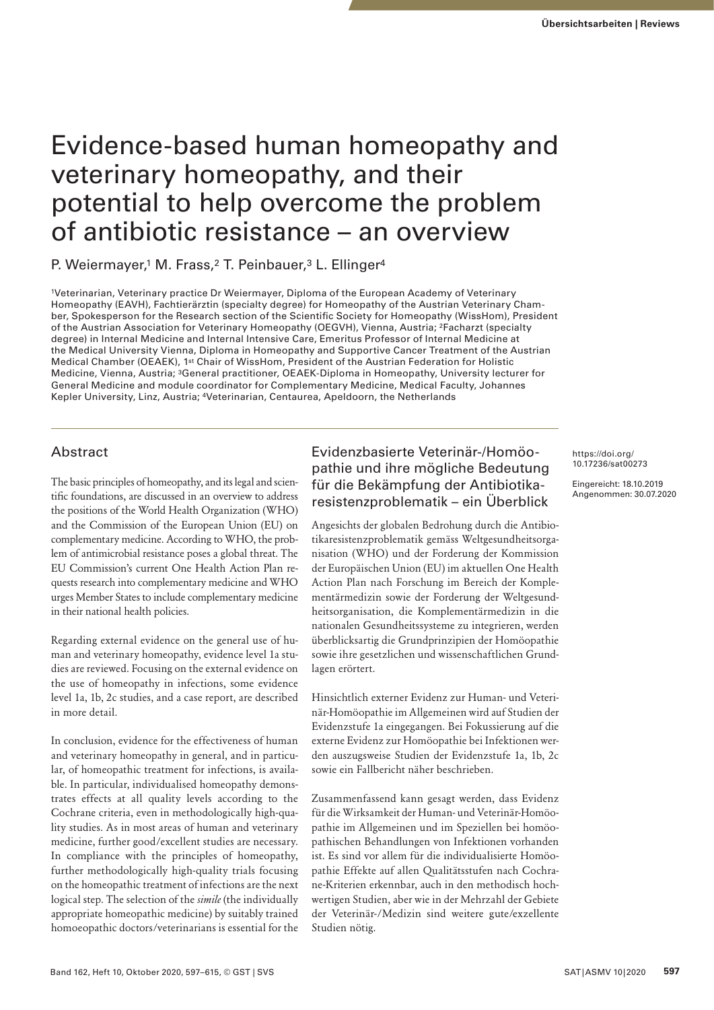# Evidence-based human homeopathy and veterinary homeopathy, and their potential to help overcome the problem of antibiotic resistance – an overview

P. Weiermayer,<sup>1</sup> M. Frass,<sup>2</sup> T. Peinbauer,<sup>3</sup> L. Ellinger<sup>4</sup>

1Veterinarian, Veterinary practice Dr Weiermayer, Diploma of the European Academy of Veterinary Homeopathy (EAVH), Fachtierärztin (specialty degree) for Homeopathy of the Austrian Veterinary Chamber, Spokesperson for the Research section of the Scientific Society for Homeopathy (WissHom), President of the Austrian Association for Veterinary Homeopathy (OEGVH), Vienna, Austria; 2Facharzt (specialty degree) in Internal Medicine and Internal Intensive Care, Emeritus Professor of Internal Medicine at the Medical University Vienna, Diploma in Homeopathy and Supportive Cancer Treatment of the Austrian Medical Chamber (OEAEK), 1st Chair of WissHom, President of the Austrian Federation for Holistic Medicine, Vienna, Austria; 3General practitioner, OEAEK-Diploma in Homeopathy, University lecturer for General Medicine and module coordinator for Complementary Medicine, Medical Faculty, Johannes Kepler University, Linz, Austria; 4Veterinarian, Centaurea, Apeldoorn, the Netherlands

## Abstract

The basic principles of homeopathy, and its legal and scientific foundations, are discussed in an overview to address the positions of the World Health Organization (WHO) and the Commission of the European Union (EU) on complementary medicine. According to WHO, the problem of antimicrobial resistance poses a global threat. The EU Commission's current One Health Action Plan requests research into complementary medicine and WHO urges Member States to include complementary medicine in their national health policies.

Regarding external evidence on the general use of human and veterinary homeopathy, evidence level 1a studies are reviewed. Focusing on the external evidence on the use of homeopathy in infections, some evidence level 1a, 1b, 2c studies, and a case report, are described in more detail.

In conclusion, evidence for the effectiveness of human and veterinary homeopathy in general, and in particular, of homeopathic treatment for infections, is available. In particular, individualised homeopathy demonstrates effects at all quality levels according to the Cochrane criteria, even in methodologically high-quality studies. As in most areas of human and veterinary medicine, further good/excellent studies are necessary. In compliance with the principles of homeopathy, further methodologically high-quality trials focusing on the homeopathic treatment of infections are the next logical step. The selection of the *simile* (the individually appropriate homeopathic medicine) by suitably trained homoeopathic doctors/veterinarians is essential for the

# Evidenzbasierte Veterinär-/Homöopathie und ihre mögliche Bedeutung für die Bekämpfung der Antibiotikaresistenzproblematik – ein Überblick

Angesichts der globalen Bedrohung durch die Antibiotikaresistenzproblematik gemäss Weltgesundheitsorganisation (WHO) und der Forderung der Kommission der Europäischen Union (EU) im aktuellen One Health Action Plan nach Forschung im Bereich der Komplementärmedizin sowie der Forderung der Weltgesundheitsorganisation, die Komplementärmedizin in die nationalen Gesundheitssysteme zu integrieren, werden überblicksartig die Grundprinzipien der Homöopathie sowie ihre gesetzlichen und wissenschaftlichen Grundlagen erörtert.

Hinsichtlich externer Evidenz zur Human- und Veterinär-Homöopathie im Allgemeinen wird auf Studien der Evidenzstufe 1a eingegangen. Bei Fokussierung auf die externe Evidenz zur Homöopathie bei Infektionen werden auszugsweise Studien der Evidenzstufe 1a, 1b, 2c sowie ein Fallbericht näher beschrieben.

Zusammenfassend kann gesagt werden, dass Evidenz für die Wirksamkeit der Human- und Veterinär-Homöopathie im Allgemeinen und im Speziellen bei homöopathischen Behandlungen von Infektionen vorhanden ist. Es sind vor allem für die individualisierte Homöopathie Effekte auf allen Qualitätsstufen nach Cochrane-Kriterien erkennbar, auch in den methodisch hochwertigen Studien, aber wie in der Mehrzahl der Gebiete der Veterinär-/Medizin sind weitere gute/exzellente Studien nötig.

<https://doi.org/> 10.17236/sat00273

Eingereicht: 18.10.2019 Angenommen: 30.07.2020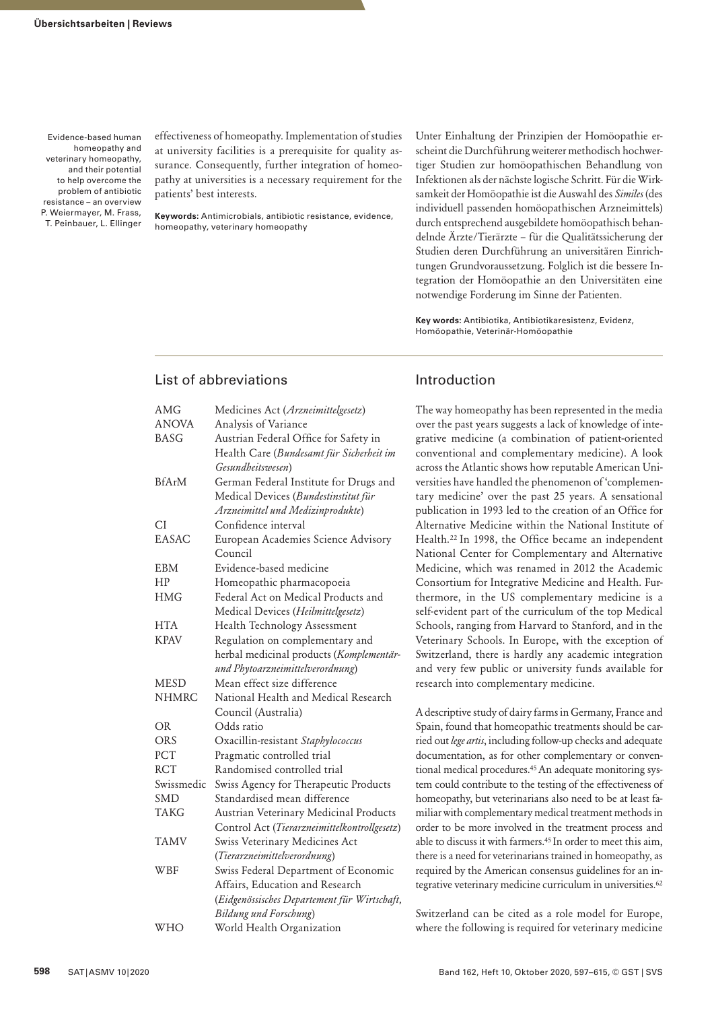effectiveness of homeopathy. Implementation of studies at university facilities is a prerequisite for quality assurance. Consequently, further integration of homeopathy at universities is a necessary requirement for the patients' best interests.

**Keywords:** Antimicrobials, antibiotic resistance, evidence, homeopathy, veterinary homeopathy

Unter Einhaltung der Prinzipien der Homöopathie erscheint die Durchführung weiterer methodisch hochwertiger Studien zur homöopathischen Behandlung von Infektionen als der nächste logische Schritt. Für die Wirksamkeit der Homöopathie ist die Auswahl des *Similes* (des individuell passenden homöopathischen Arzneimittels) durch entsprechend ausgebildete homöopathisch behandelnde Ärzte/Tierärzte – für die Qualitätssicherung der Studien deren Durchführung an universitären Einrichtungen Grundvoraussetzung. Folglich ist die bessere Integration der Homöopathie an den Universitäten eine notwendige Forderung im Sinne der Patienten.

**Key words:** Antibiotika, Antibiotikaresistenz, Evidenz, Homöopathie, Veterinär-Homöopathie

## List of abbreviations

| AMG          | Medicines Act (Arzneimittelgesetz)             |  |  |  |  |  |  |  |
|--------------|------------------------------------------------|--|--|--|--|--|--|--|
| <b>ANOVA</b> | Analysis of Variance                           |  |  |  |  |  |  |  |
| BASG         | Austrian Federal Office for Safety in          |  |  |  |  |  |  |  |
|              | Health Care (Bundesamt für Sicherheit im       |  |  |  |  |  |  |  |
|              | Gesundheitswesen)                              |  |  |  |  |  |  |  |
| <b>BfArM</b> | German Federal Institute for Drugs and         |  |  |  |  |  |  |  |
|              | Medical Devices (Bundestinstitut für           |  |  |  |  |  |  |  |
|              | Arzneimittel und Medizinprodukte)              |  |  |  |  |  |  |  |
| CI           | Confidence interval                            |  |  |  |  |  |  |  |
| <b>EASAC</b> | European Academies Science Advisory<br>Council |  |  |  |  |  |  |  |
| EBM          | Evidence-based medicine                        |  |  |  |  |  |  |  |
| <b>HP</b>    | Homeopathic pharmacopoeia                      |  |  |  |  |  |  |  |
| <b>HMG</b>   | Federal Act on Medical Products and            |  |  |  |  |  |  |  |
|              | Medical Devices (Heilmittelgesetz)             |  |  |  |  |  |  |  |
| HTA          | Health Technology Assessment                   |  |  |  |  |  |  |  |
| <b>KPAV</b>  | Regulation on complementary and                |  |  |  |  |  |  |  |
|              | herbal medicinal products (Komplementär-       |  |  |  |  |  |  |  |
|              | und Phytoarzneimittelverordnung)               |  |  |  |  |  |  |  |
| <b>MESD</b>  | Mean effect size difference                    |  |  |  |  |  |  |  |
| <b>NHMRC</b> | National Health and Medical Research           |  |  |  |  |  |  |  |
|              | Council (Australia)                            |  |  |  |  |  |  |  |
| OR           | Odds ratio                                     |  |  |  |  |  |  |  |
| ORS          | Oxacillin-resistant Staphylococcus             |  |  |  |  |  |  |  |
| PCT          | Pragmatic controlled trial                     |  |  |  |  |  |  |  |
| <b>RCT</b>   | Randomised controlled trial                    |  |  |  |  |  |  |  |
| Swissmedic   | Swiss Agency for Therapeutic Products          |  |  |  |  |  |  |  |
| <b>SMD</b>   | Standardised mean difference                   |  |  |  |  |  |  |  |
| <b>TAKG</b>  | Austrian Veterinary Medicinal Products         |  |  |  |  |  |  |  |
|              | Control Act (Tierarzneimittelkontrollgesetz)   |  |  |  |  |  |  |  |
| <b>TAMV</b>  | Swiss Veterinary Medicines Act                 |  |  |  |  |  |  |  |
|              | (Tierarzneimittelverordnung)                   |  |  |  |  |  |  |  |
| WBF          | Swiss Federal Department of Economic           |  |  |  |  |  |  |  |
|              | Affairs, Education and Research                |  |  |  |  |  |  |  |
|              | (Eidgenössisches Departement für Wirtschaft,   |  |  |  |  |  |  |  |
|              | Bildung und Forschung)                         |  |  |  |  |  |  |  |
| WHO          | World Health Organization                      |  |  |  |  |  |  |  |

## Introduction

The way homeopathy has been represented in the media over the past years suggests a lack of knowledge of integrative medicine (a combination of patient-oriented conventional and complementary medicine). A look across the Atlantic shows how reputable American Universities have handled the phenomenon of 'complementary medicine' over the past 25 years. A sensational publication in 1993 led to the creation of an Office for Alternative Medicine within the National Institute of Health.22 In 1998, the Office became an independent National Center for Complementary and Alternative Medicine, which was renamed in 2012 the Academic Consortium for Integrative Medicine and Health. Furthermore, in the US complementary medicine is a self-evident part of the curriculum of the top Medical Schools, ranging from Harvard to Stanford, and in the Veterinary Schools. In Europe, with the exception of Switzerland, there is hardly any academic integration and very few public or university funds available for research into complementary medicine.

A descriptive study of dairy farms in Germany, France and Spain, found that homeopathic treatments should be carried out *lege artis*, including follow-up checks and adequate documentation, as for other complementary or conventional medical procedures.45 An adequate monitoring system could contribute to the testing of the effectiveness of homeopathy, but veterinarians also need to be at least familiar with complementary medical treatment methods in order to be more involved in the treatment process and able to discuss it with farmers.45 In order to meet this aim, there is a need for veterinarians trained in homeopathy, as required by the American consensus guidelines for an integrative veterinary medicine curriculum in universities.<sup>62</sup>

Switzerland can be cited as a role model for Europe, where the following is required for veterinary medicine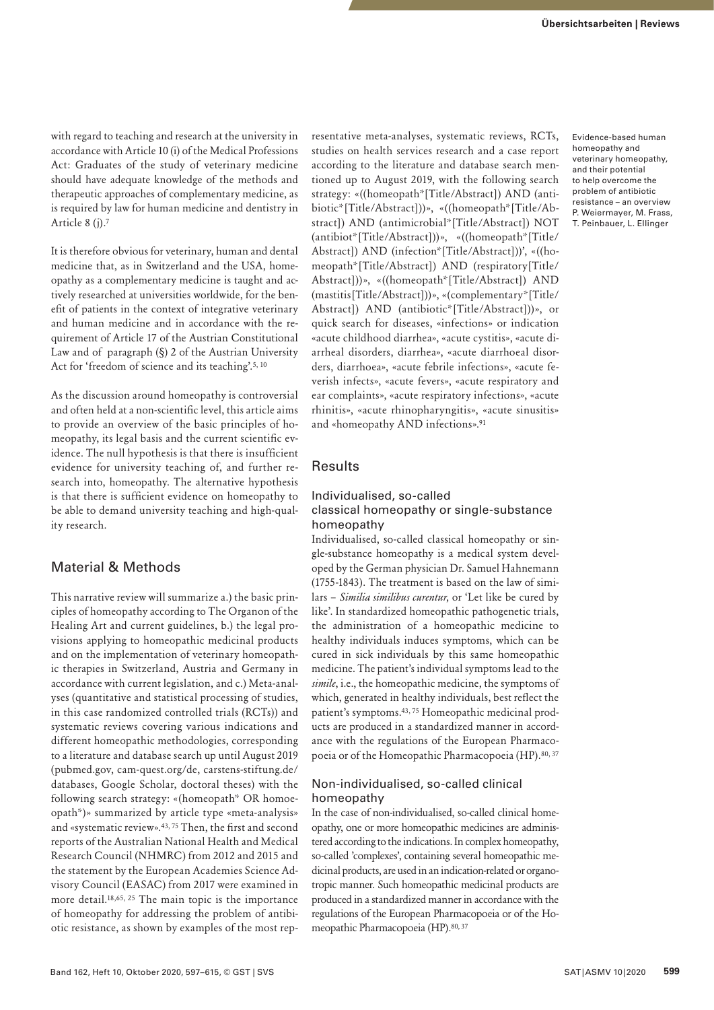with regard to teaching and research at the university in accordance with Article 10 (i) of the Medical Professions Act: Graduates of the study of veterinary medicine should have adequate knowledge of the methods and therapeutic approaches of complementary medicine, as is required by law for human medicine and dentistry in Article 8 (j).7

It is therefore obvious for veterinary, human and dental medicine that, as in Switzerland and the USA, homeopathy as a complementary medicine is taught and actively researched at universities worldwide, for the benefit of patients in the context of integrative veterinary and human medicine and in accordance with the requirement of Article 17 of the Austrian Constitutional Law and of paragraph (§) 2 of the Austrian University Act for 'freedom of science and its teaching'.<sup>5, 10</sup>

As the discussion around homeopathy is controversial and often held at a non-scientific level, this article aims to provide an overview of the basic principles of homeopathy, its legal basis and the current scientific evidence. The null hypothesis is that there is insufficient evidence for university teaching of, and further research into, homeopathy. The alternative hypothesis is that there is sufficient evidence on homeopathy to be able to demand university teaching and high-quality research.

## Material & Methods

This narrative review will summarize a.) the basic principles of homeopathy according to The Organon of the Healing Art and current guidelines, b.) the legal provisions applying to homeopathic medicinal products and on the implementation of veterinary homeopathic therapies in Switzerland, Austria and Germany in accordance with current legislation, and c.) Meta-analyses (quantitative and statistical processing of studies, in this case randomized controlled trials (RCTs)) and systematic reviews covering various indications and different homeopathic methodologies, corresponding to a literature and database search up until August 2019 (pubmed.gov, cam-quest.org/de, carstens-stiftung.de/ databases, Google Scholar, doctoral theses) with the following search strategy: «(homeopath\* OR homoeopath\*)» summarized by article type «meta-analysis» and «systematic review».43, 75 Then, the first and second reports of the Australian National Health and Medical Research Council (NHMRC) from 2012 and 2015 and the statement by the European Academies Science Advisory Council (EASAC) from 2017 were examined in more detail.18,65, 25 The main topic is the importance of homeopathy for addressing the problem of antibiotic resistance, as shown by examples of the most representative meta-analyses, systematic reviews, RCTs, studies on health services research and a case report according to the literature and database search mentioned up to August 2019, with the following search strategy: «((homeopath\*[Title/Abstract]) AND (antibiotic\*[Title/Abstract]))», «((homeopath\*[Title/Abstract]) AND (antimicrobial\*[Title/Abstract]) NOT (antibiot\*[Title/Abstract]))», «((homeopath\*[Title/ Abstract]) AND (infection\*[Title/Abstract]))', «((homeopath\*[Title/Abstract]) AND (respiratory[Title/ Abstract]))», «((homeopath\*[Title/Abstract]) AND (mastitis[Title/Abstract]))», «(complementary\*[Title/ Abstract]) AND (antibiotic\*[Title/Abstract]))», or quick search for diseases, «infections» or indication «acute childhood diarrhea», «acute cystitis», «acute diarrheal disorders, diarrhea», «acute diarrhoeal disorders, diarrhoea», «acute febrile infections», «acute feverish infects», «acute fevers», «acute respiratory and ear complaints», «acute respiratory infections», «acute rhinitis», «acute rhinopharyngitis», «acute sinusitis» and «homeopathy AND infections».91

## **Results**

#### Individualised, so-called classical homeopathy or single-substance homeopathy

Individualised, so-called classical homeopathy or single-substance homeopathy is a medical system developed by the German physician Dr. Samuel Hahnemann (1755-1843). The treatment is based on the law of similars – *Similia similibus curentur*, or 'Let like be cured by like'. In standardized homeopathic pathogenetic trials, the administration of a homeopathic medicine to healthy individuals induces symptoms, which can be cured in sick individuals by this same homeopathic medicine. The patient's individual symptoms lead to the *simile*, i.e., the homeopathic medicine, the symptoms of which, generated in healthy individuals, best reflect the patient's symptoms.43, 75 Homeopathic medicinal products are produced in a standardized manner in accordance with the regulations of the European Pharmacopoeia or of the Homeopathic Pharmacopoeia (HP). 80, 37

#### Non-individualised, so-called clinical homeopathy

In the case of non-individualised, so-called clinical homeopathy, one or more homeopathic medicines are administered according to the indications. In complex homeopathy, so-called 'complexes', containing several homeopathic medicinal products, are used in an indication-related or organotropic manner. Such homeopathic medicinal products are produced in a standardized manner in accordance with the regulations of the European Pharmacopoeia or of the Homeopathic Pharmacopoeia (HP). 80, 37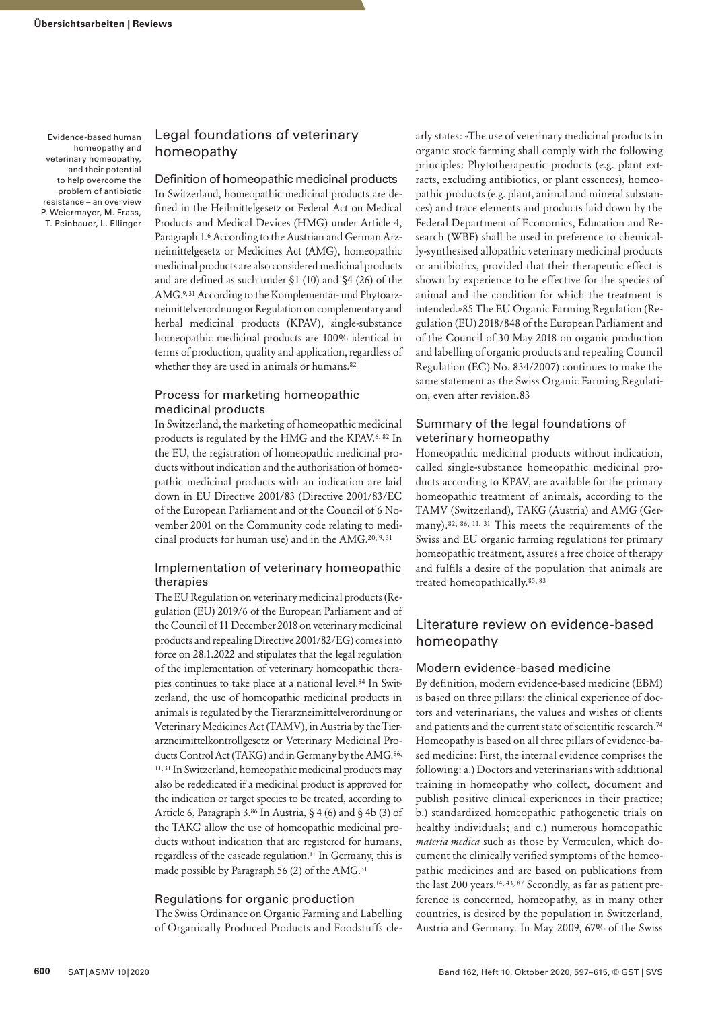## Legal foundations of veterinary homeopathy

Definition of homeopathic medicinal products In Switzerland, homeopathic medicinal products are defined in the Heilmittelgesetz or Federal Act on Medical Products and Medical Devices (HMG) under Article 4, Paragraph 1.6 According to the Austrian and German Arzneimittelgesetz or Medicines Act (AMG), homeopathic medicinal products are also considered medicinal products and are defined as such under §1 (10) and §4 (26) of the AMG.9, 31 According to the Komplementär- und Phytoarzneimittelverordnung or Regulation on complementary and herbal medicinal products (KPAV), single-substance homeopathic medicinal products are 100% identical in terms of production, quality and application, regardless of whether they are used in animals or humans.<sup>82</sup>

## Process for marketing homeopathic medicinal products

In Switzerland, the marketing of homeopathic medicinal products is regulated by the HMG and the KPAV.6, 82 In the EU, the registration of homeopathic medicinal products without indication and the authorisation of homeopathic medicinal products with an indication are laid down in EU Directive 2001/83 (Directive 2001/83/EC of the European Parliament and of the Council of 6 November 2001 on the Community code relating to medicinal products for human use) and in the AMG.20, 9, 31

#### Implementation of veterinary homeopathic therapies

The EU Regulation on veterinary medicinal products (Regulation (EU) 2019/6 of the European Parliament and of the Council of 11 December 2018 on veterinary medicinal products and repealing Directive 2001/82/EG) comes into force on 28.1.2022 and stipulates that the legal regulation of the implementation of veterinary homeopathic therapies continues to take place at a national level.84 In Switzerland, the use of homeopathic medicinal products in animals is regulated by the Tierarzneimittelverordnung or Veterinary Medicines Act (TAMV), in Austria by the Tierarzneimittelkontrollgesetz or Veterinary Medicinal Products Control Act (TAKG) and in Germany by the AMG.<sup>86,</sup> 11, 31 In Switzerland, homeopathic medicinal products may also be rededicated if a medicinal product is approved for the indication or target species to be treated, according to Article 6, Paragraph 3.86 In Austria, § 4 (6) and § 4b (3) of the TAKG allow the use of homeopathic medicinal products without indication that are registered for humans, regardless of the cascade regulation.11 In Germany, this is made possible by Paragraph 56 (2) of the AMG.31

#### Regulations for organic production

The Swiss Ordinance on Organic Farming and Labelling of Organically Produced Products and Foodstuffs cle-

arly states: «The use of veterinary medicinal products in organic stock farming shall comply with the following principles: Phytotherapeutic products (e.g. plant extracts, excluding antibiotics, or plant essences), homeopathic products (e.g. plant, animal and mineral substances) and trace elements and products laid down by the Federal Department of Economics, Education and Research (WBF) shall be used in preference to chemically-synthesised allopathic veterinary medicinal products or antibiotics, provided that their therapeutic effect is shown by experience to be effective for the species of animal and the condition for which the treatment is intended.»85 The EU Organic Farming Regulation (Regulation (EU) 2018/848 of the European Parliament and of the Council of 30 May 2018 on organic production and labelling of organic products and repealing Council Regulation (EC) No. 834/2007) continues to make the same statement as the Swiss Organic Farming Regulation, even after revision.83

#### Summary of the legal foundations of veterinary homeopathy

Homeopathic medicinal products without indication, called single-substance homeopathic medicinal products according to KPAV, are available for the primary homeopathic treatment of animals, according to the TAMV (Switzerland), TAKG (Austria) and AMG (Germany).<sup>82, 86, 11, 31</sup> This meets the requirements of the Swiss and EU organic farming regulations for primary homeopathic treatment, assures a free choice of therapy and fulfils a desire of the population that animals are treated homeopathically.85, 83

## Literature review on evidence-based homeopathy

#### Modern evidence-based medicine

By definition, modern evidence-based medicine (EBM) is based on three pillars: the clinical experience of doctors and veterinarians, the values and wishes of clients and patients and the current state of scientific research.74 Homeopathy is based on all three pillars of evidence-based medicine: First, the internal evidence comprises the following: a.) Doctors and veterinarians with additional training in homeopathy who collect, document and publish positive clinical experiences in their practice; b.) standardized homeopathic pathogenetic trials on healthy individuals; and c.) numerous homeopathic *materia medica* such as those by Vermeulen, which document the clinically verified symptoms of the homeopathic medicines and are based on publications from the last 200 years.14, 43, 87 Secondly, as far as patient preference is concerned, homeopathy, as in many other countries, is desired by the population in Switzerland, Austria and Germany. In May 2009, 67% of the Swiss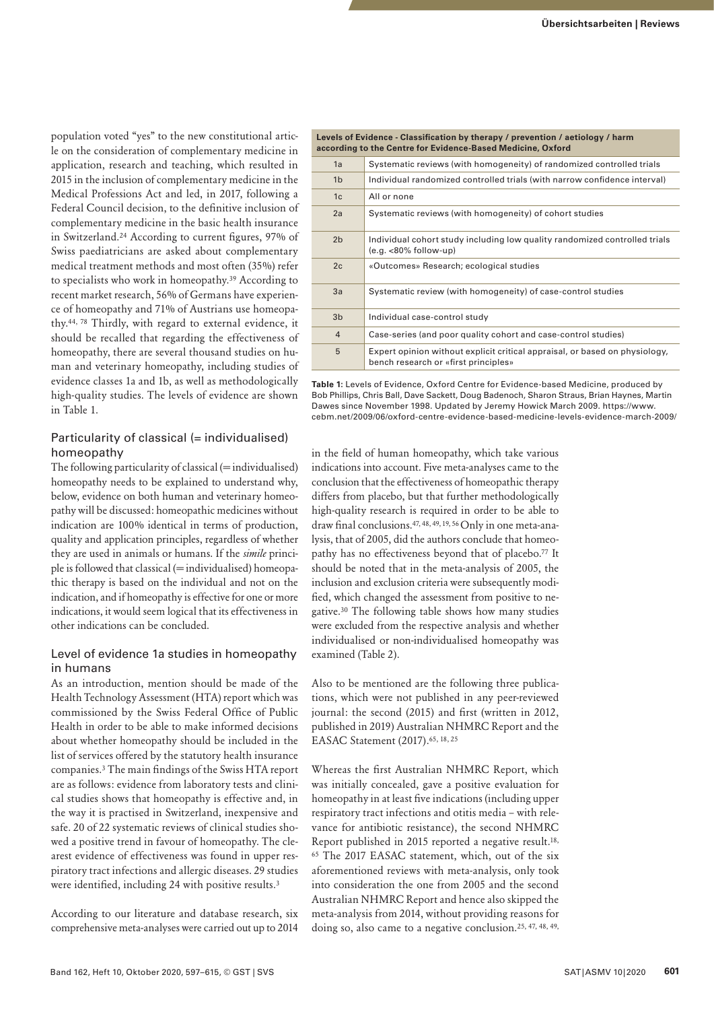population voted "yes" to the new constitutional article on the consideration of complementary medicine in application, research and teaching, which resulted in 2015 in the inclusion of complementary medicine in the Medical Professions Act and led, in 2017, following a Federal Council decision, to the definitive inclusion of complementary medicine in the basic health insurance in Switzerland.24 According to current figures, 97% of Swiss paediatricians are asked about complementary medical treatment methods and most often (35%) refer to specialists who work in homeopathy.39 According to recent market research, 56% of Germans have experience of homeopathy and 71% of Austrians use homeopathy.44, 78 Thirdly, with regard to external evidence, it should be recalled that regarding the effectiveness of homeopathy, there are several thousand studies on human and veterinary homeopathy, including studies of evidence classes 1a and 1b, as well as methodologically high-quality studies. The levels of evidence are shown in Table 1.

## Particularity of classical (= individualised) homeopathy

The following particularity of classical  $(=$  individualised) homeopathy needs to be explained to understand why, below, evidence on both human and veterinary homeopathy will be discussed: homeopathic medicines without indication are 100% identical in terms of production, quality and application principles, regardless of whether they are used in animals or humans. If the *simile* princi $p$ le is followed that classical ( $=$  individualised) homeopathic therapy is based on the individual and not on the indication, and if homeopathy is effective for one or more indications, it would seem logical that its effectiveness in other indications can be concluded.

#### Level of evidence 1a studies in homeopathy in humans

As an introduction, mention should be made of the Health Technology Assessment (HTA) report which was commissioned by the Swiss Federal Office of Public Health in order to be able to make informed decisions about whether homeopathy should be included in the list of services offered by the statutory health insurance companies.3 The main findings of the Swiss HTA report are as follows: evidence from laboratory tests and clinical studies shows that homeopathy is effective and, in the way it is practised in Switzerland, inexpensive and safe. 20 of 22 systematic reviews of clinical studies showed a positive trend in favour of homeopathy. The clearest evidence of effectiveness was found in upper respiratory tract infections and allergic diseases. 29 studies were identified, including 24 with positive results.<sup>3</sup>

According to our literature and database research, six comprehensive meta-analyses were carried out up to 2014

**Levels of Evidence - Classification by therapy / prevention / aetiology / harm according to the Centre for Evidence-Based Medicine, Oxford**

| 1a             | Systematic reviews (with homogeneity) of randomized controlled trials                                               |
|----------------|---------------------------------------------------------------------------------------------------------------------|
| 1 <sub>b</sub> | Individual randomized controlled trials (with narrow confidence interval)                                           |
| 1 <sub>c</sub> | All or none                                                                                                         |
| 2a             | Systematic reviews (with homogeneity) of cohort studies                                                             |
| 2 <sub>b</sub> | Individual cohort study including low quality randomized controlled trials<br>$(e.g. < 80\%$ follow-up)             |
| 2c             | «Outcomes» Research; ecological studies                                                                             |
| 3a             | Systematic review (with homogeneity) of case-control studies                                                        |
| 3 <sub>b</sub> | Individual case-control study                                                                                       |
| $\overline{4}$ | Case-series (and poor quality cohort and case-control studies)                                                      |
| 5              | Expert opinion without explicit critical appraisal, or based on physiology,<br>bench research or «first principles» |
|                |                                                                                                                     |

**Table 1:** Levels of Evidence, Oxford Centre for Evidence-based Medicine, produced by Bob Phillips, Chris Ball, Dave Sackett, Doug Badenoch, Sharon Straus, Brian Haynes, Martin Dawes since November 1998. Updated by Jeremy Howick March 2009. [https://www.](https://www.cebm.net/2009/06/oxford-centre-evidence-based-medicine-levels-evidence-march-2009/) [cebm.net/2009/06/oxford-centre-evidence-based-medicine-levels-evidence-march-2009/](https://www.cebm.net/2009/06/oxford-centre-evidence-based-medicine-levels-evidence-march-2009/)

in the field of human homeopathy, which take various indications into account. Five meta-analyses came to the conclusion that the effectiveness of homeopathic therapy differs from placebo, but that further methodologically high-quality research is required in order to be able to draw final conclusions.47, 48, 49, 19, 56 Only in one meta-analysis, that of 2005, did the authors conclude that homeopathy has no effectiveness beyond that of placebo.<sup>77</sup> It should be noted that in the meta-analysis of 2005, the inclusion and exclusion criteria were subsequently modified, which changed the assessment from positive to negative.30 The following table shows how many studies were excluded from the respective analysis and whether individualised or non-individualised homeopathy was examined (Table 2).

Also to be mentioned are the following three publications, which were not published in any peer-reviewed journal: the second (2015) and first (written in 2012, published in 2019) Australian NHMRC Report and the EASAC Statement (2017).<sup>65, 18, 25</sup>

Whereas the first Australian NHMRC Report, which was initially concealed, gave a positive evaluation for homeopathy in at least five indications (including upper respiratory tract infections and otitis media – with relevance for antibiotic resistance), the second NHMRC Report published in 2015 reported a negative result.<sup>18,</sup> 65 The 2017 EASAC statement, which, out of the six aforementioned reviews with meta-analysis, only took into consideration the one from 2005 and the second Australian NHMRC Report and hence also skipped the meta-analysis from 2014, without providing reasons for doing so, also came to a negative conclusion.25, 47, 48, 49,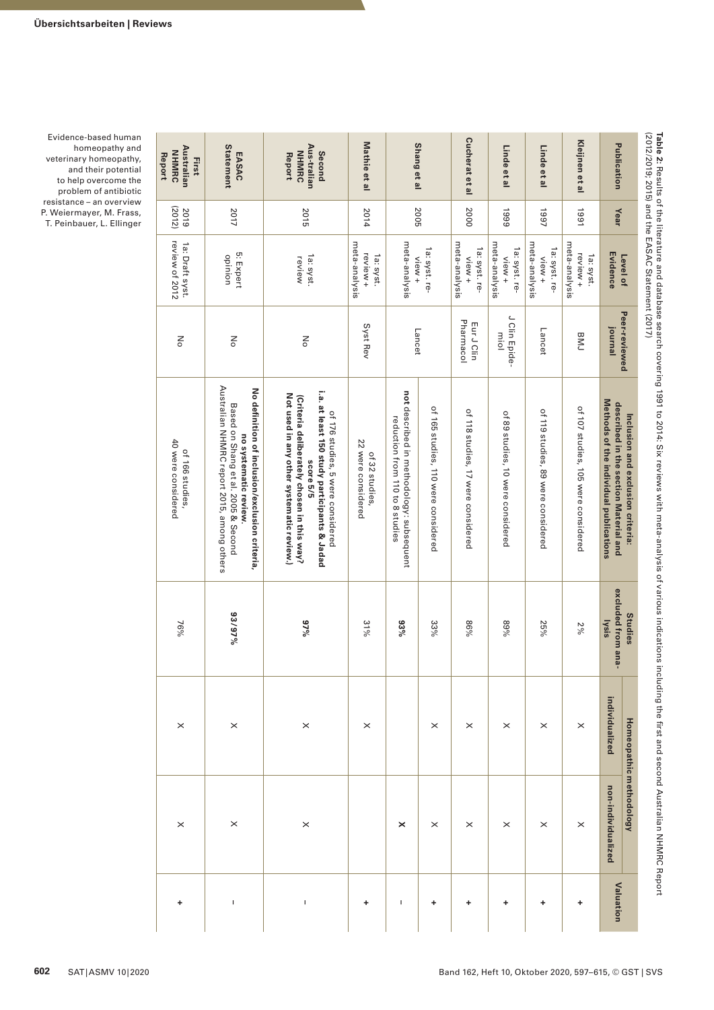**Publication**

Publication

**Kleijnen et al**

Kleijnen et al

**Linde et al**

Linde et al

**Linde et al**

Linde et al

**Cucherat et al**

**Cucherat et al** 

**Shang et al**

Shang et al

**Mathie et al**

Mathie et al

**Second Aus-tralian**  Second<br>Aus-tralian<br>NHMRC<br>Report **NHMRC** 

2015

**EASAC Statement**

First<br>ustralie<br>Report<br>Report **Australian NHMRC** 

2019 (2012)

2017

2014

2005

2000

1999

1997

1991

**Year**

| Level of                                            | Peer-reviewed                 | Inclusion and exclusion criteria:                                                                                                                                                         | <b>Studies</b>              | Homeopathic    | methodology        |           |
|-----------------------------------------------------|-------------------------------|-------------------------------------------------------------------------------------------------------------------------------------------------------------------------------------------|-----------------------------|----------------|--------------------|-----------|
| Evidence                                            | journal                       | Methods of the individual publications<br>described in the section Material and                                                                                                           | excluded from ana-<br>lysis | individualized | non-individualized | Valuation |
| meta-analysis<br>review +<br>1a: syst.              | <b>BINJ</b>                   | of 107 studies, 105 were considered                                                                                                                                                       | 2%                          | $\times$       | $\times$           |           |
| meta-analysis<br>1a: syst. re-<br>view+             | Lancet                        | of 119 studies, 89 were considered                                                                                                                                                        | 25%                         | $\times$       | $\times$           |           |
| meta-analysis<br>1a: syst. re-<br>view <sub>+</sub> | J Clin Epide-<br>miol         | of 89 studies, 10 were considered                                                                                                                                                         | %68                         | $\times$       | $\times$           |           |
| meta-analysis<br>1a: syst. re-<br>view+             | Pharmacol<br>Eur J Clin       | of 118 studies, 17 were considered                                                                                                                                                        | 9698                        | $\times$       | $\times$           |           |
| 1a: syst. re-                                       |                               | of 165 studies, 110 were considered                                                                                                                                                       | 33%                         | $\times$       | $\times$           |           |
| meta-analysis<br>$v$ iew +                          | Lancet                        | not described in methodology: subsequent<br>reduction from 110 to 8 studies                                                                                                               | $93\%$                      |                | ×                  |           |
| meta-analysis<br>review +<br>1a: syst.              | Syst Rev                      | 22 were considered<br>of 32 studies                                                                                                                                                       | 31%                         | $\times$       |                    | +         |
| 1a: syst.<br>review                                 | $\frac{8}{\pi}$               | i.a. at least 150 study participants & Jadad<br>Not used in any other systematic review.)<br>(Criteria deliberately chosen in this way?<br>of 176 studies, 5 were considered<br>score 5/5 | 9/0.6                       | $\times$       | $\times$           | T         |
|                                                     | ŠΡ                            | Australian NHMRC report 2015, among others<br>No definition of inclusion/exclusion criteria,<br>Based on Shang et al. 2005 & Second<br>no systematic review.                              | 93/97%                      | $\times$       | $\times$           |           |
| 5: Expert<br>opinion                                | $\mathop{\text{SO}}\nolimits$ |                                                                                                                                                                                           | $76\%$                      | $\times$       |                    |           |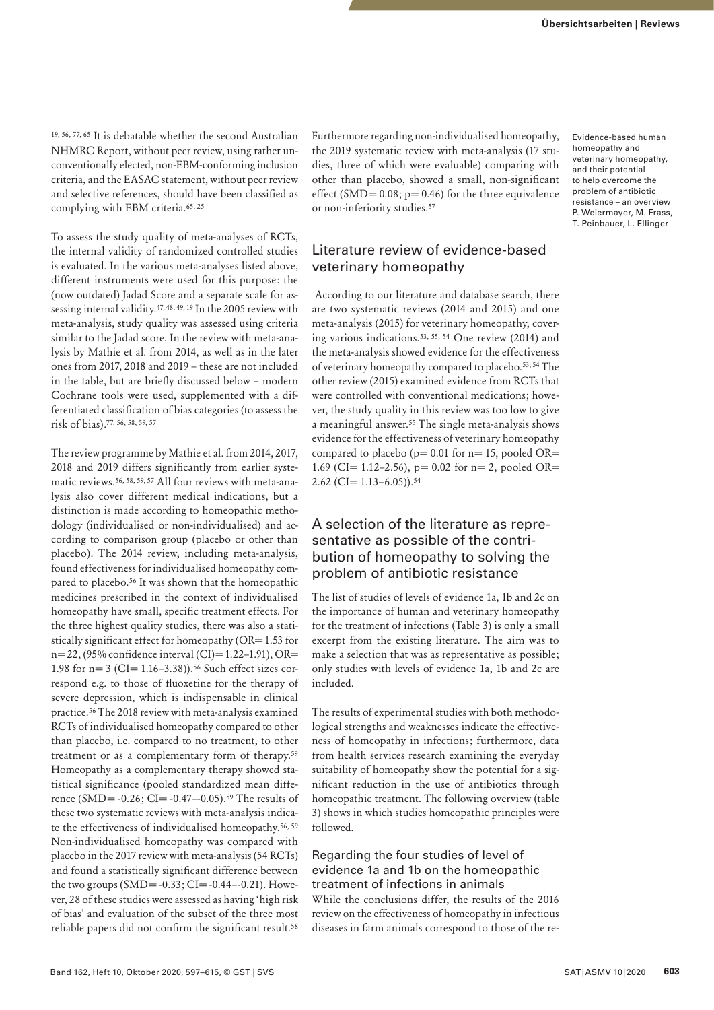19, 56, 77, 65 It is debatable whether the second Australian NHMRC Report, without peer review, using rather unconventionally elected, non-EBM-conforming inclusion criteria, and the EASAC statement, without peer review and selective references, should have been classified as complying with EBM criteria.65, 25

To assess the study quality of meta-analyses of RCTs, the internal validity of randomized controlled studies is evaluated. In the various meta-analyses listed above, different instruments were used for this purpose: the (now outdated) Jadad Score and a separate scale for assessing internal validity.47, 48, 49, 19 In the 2005 review with meta-analysis, study quality was assessed using criteria similar to the Jadad score. In the review with meta-analysis by Mathie et al. from 2014, as well as in the later ones from 2017, 2018 and 2019 – these are not included in the table, but are briefly discussed below – modern Cochrane tools were used, supplemented with a differentiated classification of bias categories (to assess the risk of bias).77, 56, 58, 59, 57

The review programme by Mathie et al. from 2014, 2017, 2018 and 2019 differs significantly from earlier systematic reviews.56, 58, 59, 57 All four reviews with meta-analysis also cover different medical indications, but a distinction is made according to homeopathic methodology (individualised or non-individualised) and according to comparison group (placebo or other than placebo). The 2014 review, including meta-analysis, found effectiveness for individualised homeopathy compared to placebo.56 It was shown that the homeopathic medicines prescribed in the context of individualised homeopathy have small, specific treatment effects. For the three highest quality studies, there was also a statistically significant effect for homeopathy (OR= 1.53 for n= 22, (95% confidence interval (CI)= 1.22–1.91), OR= 1.98 for  $n=3$  (CI= 1.16–3.38)).<sup>56</sup> Such effect sizes correspond e.g. to those of fluoxetine for the therapy of severe depression, which is indispensable in clinical practice.56 The 2018 review with meta-analysis examined RCTs of individualised homeopathy compared to other than placebo, i.e. compared to no treatment, to other treatment or as a complementary form of therapy.59 Homeopathy as a complementary therapy showed statistical significance (pooled standardized mean difference (SMD=  $-0.26$ ; CI=  $-0.47-0.05$ ).<sup>59</sup> The results of these two systematic reviews with meta-analysis indicate the effectiveness of individualised homeopathy.56, 59 Non-individualised homeopathy was compared with placebo in the 2017 review with meta-analysis (54 RCTs) and found a statistically significant difference between the two groups  $(SMD = -0.33; CI = -0.44 - 0.21)$ . However, 28 of these studies were assessed as having 'high risk of bias' and evaluation of the subset of the three most reliable papers did not confirm the significant result.58

Furthermore regarding non-individualised homeopathy, the 2019 systematic review with meta-analysis (17 studies, three of which were evaluable) comparing with other than placebo, showed a small, non-significant effect (SMD=  $0.08$ ; p=  $0.46$ ) for the three equivalence or non-inferiority studies.57

# Literature review of evidence-based veterinary homeopathy

 According to our literature and database search, there are two systematic reviews (2014 and 2015) and one meta-analysis (2015) for veterinary homeopathy, covering various indications.53, 55, 54 One review (2014) and the meta-analysis showed evidence for the effectiveness of veterinary homeopathy compared to placebo.53, 54 The other review (2015) examined evidence from RCTs that were controlled with conventional medications; however, the study quality in this review was too low to give a meaningful answer.55 The single meta-analysis shows evidence for the effectiveness of veterinary homeopathy compared to placebo ( $p= 0.01$  for  $n= 15$ , pooled OR= 1.69 (CI= 1.12-2.56),  $p = 0.02$  for  $n = 2$ , pooled OR=  $2.62$  (CI= 1.13–6.05)).<sup>54</sup>

# A selection of the literature as representative as possible of the contribution of homeopathy to solving the problem of antibiotic resistance

The list of studies of levels of evidence 1a, 1b and 2c on the importance of human and veterinary homeopathy for the treatment of infections (Table 3) is only a small excerpt from the existing literature. The aim was to make a selection that was as representative as possible; only studies with levels of evidence 1a, 1b and 2c are included.

The results of experimental studies with both methodological strengths and weaknesses indicate the effectiveness of homeopathy in infections; furthermore, data from health services research examining the everyday suitability of homeopathy show the potential for a significant reduction in the use of antibiotics through homeopathic treatment. The following overview (table 3) shows in which studies homeopathic principles were followed.

#### Regarding the four studies of level of evidence 1a and 1b on the homeopathic treatment of infections in animals

While the conclusions differ, the results of the 2016 review on the effectiveness of homeopathy in infectious diseases in farm animals correspond to those of the re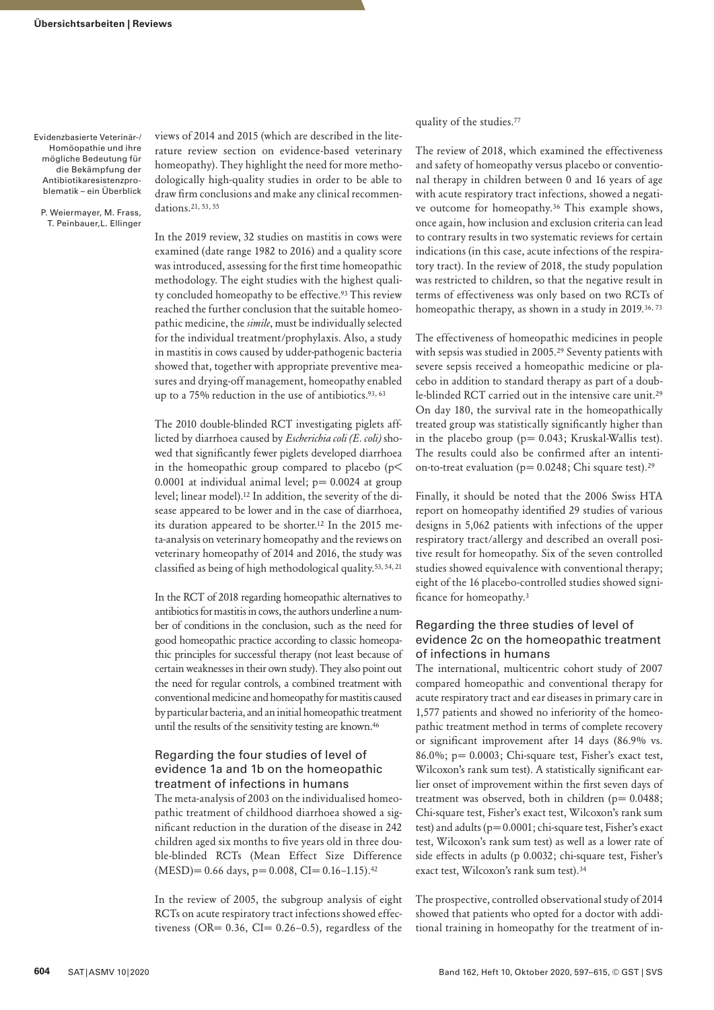Evidenzbasierte Veterinär-/ Homöopathie und ihre mögliche Bedeutung für die Bekämpfung der Antibiotikaresistenzproblematik – ein Überblick

P. Weiermayer, M. Frass, T. Peinbauer,L. Ellinger views of 2014 and 2015 (which are described in the literature review section on evidence-based veterinary homeopathy). They highlight the need for more methodologically high-quality studies in order to be able to draw firm conclusions and make any clinical recommendations.21, 53, 55

In the 2019 review, 32 studies on mastitis in cows were examined (date range 1982 to 2016) and a quality score was introduced, assessing for the first time homeopathic methodology. The eight studies with the highest quality concluded homeopathy to be effective.<sup>93</sup> This review reached the further conclusion that the suitable homeopathic medicine, the *simile*, must be individually selected for the individual treatment/prophylaxis. Also, a study in mastitis in cows caused by udder-pathogenic bacteria showed that, together with appropriate preventive measures and drying-off management, homeopathy enabled up to a 75% reduction in the use of antibiotics.<sup>93, 63</sup>

The 2010 double-blinded RCT investigating piglets afflicted by diarrhoea caused by *Escherichia coli (E. coli)* showed that significantly fewer piglets developed diarrhoea in the homeopathic group compared to placebo ( $p$ < 0.0001 at individual animal level;  $p= 0.0024$  at group level; linear model).12 In addition, the severity of the disease appeared to be lower and in the case of diarrhoea, its duration appeared to be shorter.12 In the 2015 meta-analysis on veterinary homeopathy and the reviews on veterinary homeopathy of 2014 and 2016, the study was classified as being of high methodological quality.53, 54, 21

In the RCT of 2018 regarding homeopathic alternatives to antibiotics for mastitis in cows, the authors underline a number of conditions in the conclusion, such as the need for good homeopathic practice according to classic homeopathic principles for successful therapy (not least because of certain weaknesses in their own study). They also point out the need for regular controls, a combined treatment with conventional medicine and homeopathy for mastitis caused by particular bacteria, and an initial homeopathic treatment until the results of the sensitivity testing are known.46

## Regarding the four studies of level of evidence 1a and 1b on the homeopathic treatment of infections in humans

The meta-analysis of 2003 on the individualised homeopathic treatment of childhood diarrhoea showed a significant reduction in the duration of the disease in 242 children aged six months to five years old in three double-blinded RCTs (Mean Effect Size Difference  $(MESD)= 0.66$  days, p= 0.008, CI= 0.16-1.15).<sup>42</sup>

In the review of 2005, the subgroup analysis of eight RCTs on acute respiratory tract infections showed effectiveness (OR=  $0.36$ , CI=  $0.26-0.5$ ), regardless of the

quality of the studies.77

The review of 2018, which examined the effectiveness and safety of homeopathy versus placebo or conventional therapy in children between 0 and 16 years of age with acute respiratory tract infections, showed a negative outcome for homeopathy.36 This example shows, once again, how inclusion and exclusion criteria can lead to contrary results in two systematic reviews for certain indications (in this case, acute infections of the respiratory tract). In the review of 2018, the study population was restricted to children, so that the negative result in terms of effectiveness was only based on two RCTs of homeopathic therapy, as shown in a study in 2019.<sup>36, 73</sup>

The effectiveness of homeopathic medicines in people with sepsis was studied in 2005.29 Seventy patients with severe sepsis received a homeopathic medicine or placebo in addition to standard therapy as part of a double-blinded RCT carried out in the intensive care unit.29 On day 180, the survival rate in the homeopathically treated group was statistically significantly higher than in the placebo group ( $p= 0.043$ ; Kruskal-Wallis test). The results could also be confirmed after an intention-to-treat evaluation ( $p= 0.0248$ ; Chi square test).<sup>29</sup>

Finally, it should be noted that the 2006 Swiss HTA report on homeopathy identified 29 studies of various designs in 5,062 patients with infections of the upper respiratory tract/allergy and described an overall positive result for homeopathy. Six of the seven controlled studies showed equivalence with conventional therapy; eight of the 16 placebo-controlled studies showed significance for homeopathy.3

#### Regarding the three studies of level of evidence 2c on the homeopathic treatment of infections in humans

The international, multicentric cohort study of 2007 compared homeopathic and conventional therapy for acute respiratory tract and ear diseases in primary care in 1,577 patients and showed no inferiority of the homeopathic treatment method in terms of complete recovery or significant improvement after 14 days (86.9% vs. 86.0%; p= 0.0003; Chi-square test, Fisher's exact test, Wilcoxon's rank sum test). A statistically significant earlier onset of improvement within the first seven days of treatment was observed, both in children ( $p= 0.0488$ ; Chi-square test, Fisher's exact test, Wilcoxon's rank sum test) and adults (p= 0.0001; chi-square test, Fisher's exact test, Wilcoxon's rank sum test) as well as a lower rate of side effects in adults (p 0.0032; chi-square test, Fisher's exact test, Wilcoxon's rank sum test).34

The prospective, controlled observational study of 2014 showed that patients who opted for a doctor with additional training in homeopathy for the treatment of in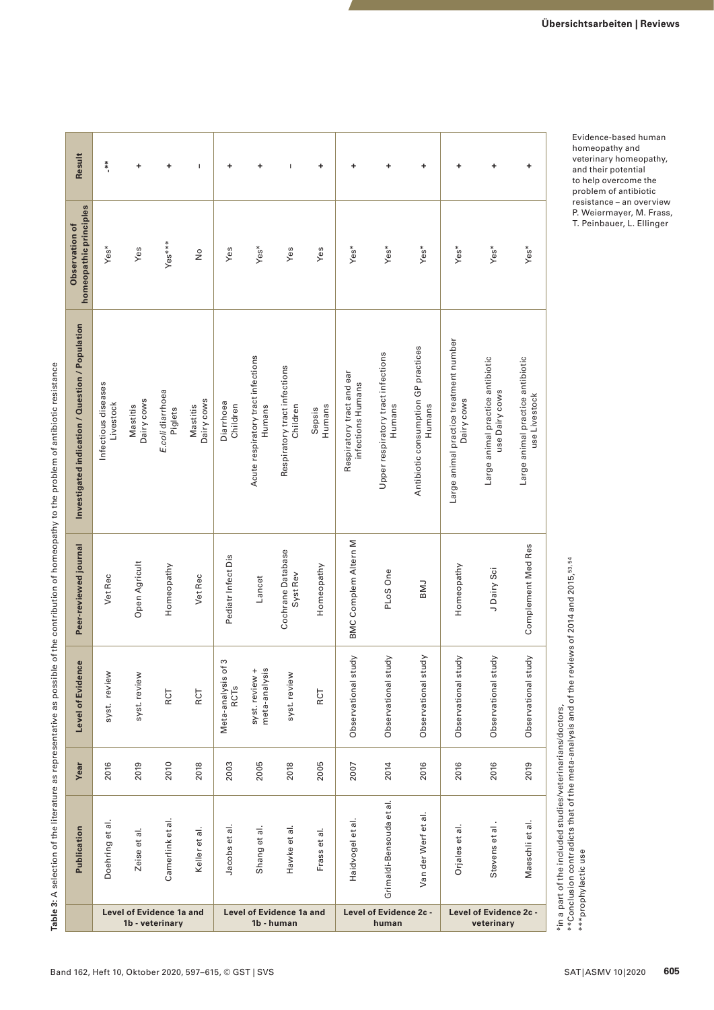Table 3: A selection of the literature as representative as possible of the contribution of homeopathy to the problem of antibiotic resistance **Table 3:** A selection of the literature as representative as possible of the contribution of homeopathy to the problem of antibiotic resistance

| Result                                          | **.                                         | ٠                      | +                           | $\overline{1}$                                | ٠                                      | ٠                                            | $\mathbf I$                              | ٠                               | +                                              | ٠                                            | ٠                                             | ٠                                                    | ٠                                                  | ٠                                                 |
|-------------------------------------------------|---------------------------------------------|------------------------|-----------------------------|-----------------------------------------------|----------------------------------------|----------------------------------------------|------------------------------------------|---------------------------------|------------------------------------------------|----------------------------------------------|-----------------------------------------------|------------------------------------------------------|----------------------------------------------------|---------------------------------------------------|
| homeopathic principles<br>Observation of        | Yes*                                        | Yes                    | Yes***                      | $\frac{1}{2}$                                 | Yes                                    | Yes*                                         | Yes                                      | Yes                             | Yes*                                           | Yes*                                         | Yes*                                          | Yes*                                                 | Yes*                                               | Yes*                                              |
| Investigated indication / Question / Population | Infectious diseases<br>Livestock            | Dairy cows<br>Mastitis | E.coli diarrhoea<br>Piglets | Dairy cows<br>Mastitis                        | Diarrhoea<br>Children                  | Acute respiratory tract infections<br>Humans | Respiratory tract infections<br>Children | Humans<br>Sepsis                | Respiratory tract and ear<br>infections Humans | Upper respiratory tract infections<br>Humans | Antibiotic consumption GP practices<br>Humans | Large animal practice treatment number<br>Dairy cows | Large animal practice antibiotic<br>use Dairy cows | Large animal practice antibiotic<br>use Livestock |
| Peer-reviewed journal                           | Vet Rec                                     | Open Agricult          | Homeopathy                  | Vet Rec                                       | Pediatr Infect Dis                     | Lancet                                       | Cochrane Database<br>Syst Rev            | Homeopathy                      | <b>BMC Complem Altern M</b>                    | PLoS One                                     | <b>LMB</b>                                    | Homeopathy                                           | J Dairy Sci                                        | Complement Med Res                                |
| Level of Evidence                               | syst. review                                | syst. review           | RCT                         | RCT                                           | S<br>Meta-analysis of<br><b>RCTs</b>   | syst. review +<br>meta-analysis              | syst. review                             | RCT                             | Observational study                            | Observational study                          | Ypr<br>Observational stu                      | Observational study                                  | Observational study                                | Ypr<br>Observational stu                          |
| Year                                            | 2016                                        | 2019                   | 2010                        | 2018                                          | 2003                                   | 2005                                         | 2018                                     | 2005                            | 2007                                           | 2014                                         | 2016                                          | 2016                                                 | 2016                                               | 2019                                              |
| Publication                                     | Doehring et al.                             | Zeise et al.           | Camerlink et al.            | Keller et al.                                 | $\overline{\overline{a}}$<br>Jacobs et | $\vec{a}$<br>Shang et                        | Hawke et al.                             | Frass et al.                    | Haidvogel et al.                               | Grimaldi-Bensouda et al.                     | Van der Werf et al.                           | Orjales et al.                                       | Stevens et al.                                     | Maeschli et al.                                   |
|                                                 | Level of Evidence 1a and<br>1b - veterinary |                        |                             | <b>Level of Evidence 1a and</b><br>1b - human |                                        |                                              |                                          | Level of Evidence 2c -<br>human |                                                |                                              | Level of Evidence 2c -<br>veterinary          |                                                      |                                                    |                                                   |

Evidence-based human homeopathy and veterinary homeopathy, and their potential to help overcome the problem of antibiotic resistance – an overview P. Weiermayer, M. Frass, T. Peinbauer, L. Ellinger

\*in a part of the included studies/veterinarians/doctors,

\*in a part of the included studies/veterinarians/doctors,<br>\*\*Conclusion contradicts that of the meta-analysis and of the reviews of 2014 and 2015,<sup>53,54</sup><br>\*\*\*prophylactic use  $^{**}$ Conclusion contradicts that of the meta-analysis and of the reviews of 2014 and 2015, $^{\rm 53,54}$ \*\*\*prophylactic use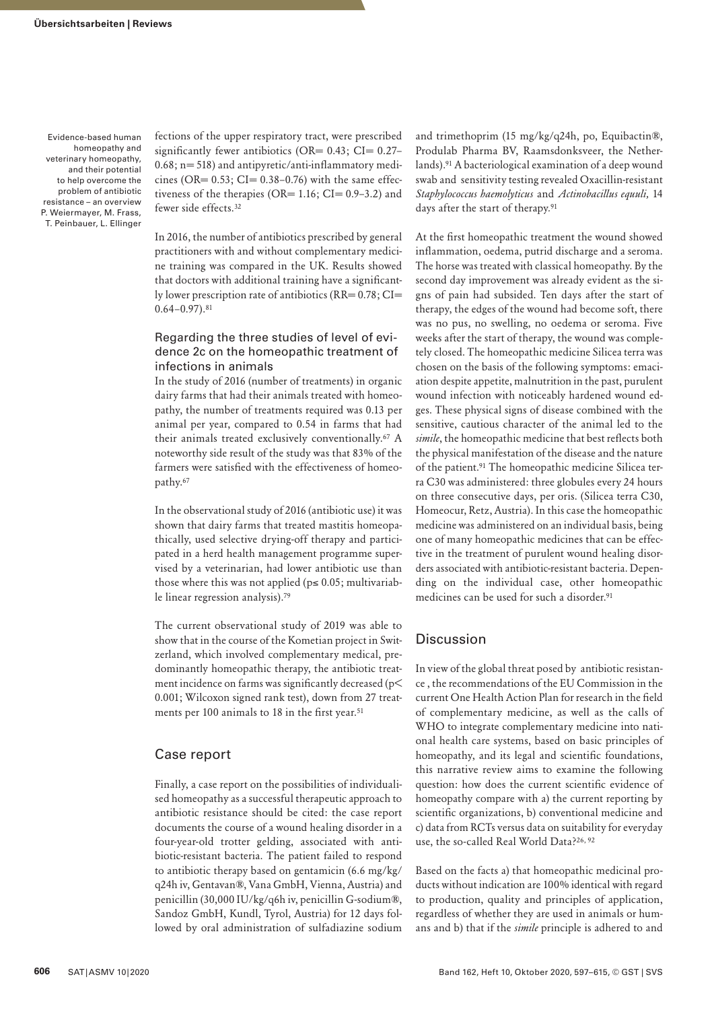fections of the upper respiratory tract, were prescribed significantly fewer antibiotics (OR=  $0.43$ ; CI=  $0.27 0.68$ ; n= 518) and antipyretic/anti-inflammatory medicines (OR=  $0.53$ ; CI=  $0.38-0.76$ ) with the same effectiveness of the therapies (OR=  $1.16$ ; CI=  $0.9-3.2$ ) and fewer side effects.32

In 2016, the number of antibiotics prescribed by general practitioners with and without complementary medicine training was compared in the UK. Results showed that doctors with additional training have a significantly lower prescription rate of antibiotics (RR= 0.78; CI=  $0.64 - 0.97$ ).<sup>81</sup>

#### Regarding the three studies of level of evidence 2c on the homeopathic treatment of infections in animals

In the study of 2016 (number of treatments) in organic dairy farms that had their animals treated with homeopathy, the number of treatments required was 0.13 per animal per year, compared to 0.54 in farms that had their animals treated exclusively conventionally.67 A noteworthy side result of the study was that 83% of the farmers were satisfied with the effectiveness of homeopathy.67

In the observational study of 2016 (antibiotic use) it was shown that dairy farms that treated mastitis homeopathically, used selective drying-off therapy and participated in a herd health management programme supervised by a veterinarian, had lower antibiotic use than those where this was not applied ( $p \le 0.05$ ; multivariable linear regression analysis).79

The current observational study of 2019 was able to show that in the course of the Kometian project in Switzerland, which involved complementary medical, predominantly homeopathic therapy, the antibiotic treatment incidence on farms was significantly decreased (p< 0.001; Wilcoxon signed rank test), down from 27 treatments per 100 animals to 18 in the first year.<sup>51</sup>

## Case report

Finally, a case report on the possibilities of individualised homeopathy as a successful therapeutic approach to antibiotic resistance should be cited: the case report documents the course of a wound healing disorder in a four-year-old trotter gelding, associated with antibiotic-resistant bacteria. The patient failed to respond to antibiotic therapy based on gentamicin (6.6 mg/kg/ q24h iv, Gentavan®, Vana GmbH, Vienna, Austria) and penicillin (30,000 IU/kg/q6h iv, penicillin G-sodium®, Sandoz GmbH, Kundl, Tyrol, Austria) for 12 days followed by oral administration of sulfadiazine sodium

and trimethoprim (15 mg/kg/q24h, po, Equibactin®, Produlab Pharma BV, Raamsdonksveer, the Netherlands).91 A bacteriological examination of a deep wound swab and sensitivity testing revealed Oxacillin-resistant *Staphylococcus haemolyticus* and *Actinobacillus equuli,* 14 days after the start of therapy*.* 91

At the first homeopathic treatment the wound showed inflammation, oedema, putrid discharge and a seroma. The horse was treated with classical homeopathy. By the second day improvement was already evident as the signs of pain had subsided. Ten days after the start of therapy, the edges of the wound had become soft, there was no pus, no swelling, no oedema or seroma. Five weeks after the start of therapy, the wound was completely closed. The homeopathic medicine Silicea terra was chosen on the basis of the following symptoms: emaciation despite appetite, malnutrition in the past, purulent wound infection with noticeably hardened wound edges. These physical signs of disease combined with the sensitive, cautious character of the animal led to the *simile*, the homeopathic medicine that best reflects both the physical manifestation of the disease and the nature of the patient.91 The homeopathic medicine Silicea terra C30 was administered: three globules every 24 hours on three consecutive days, per oris. (Silicea terra C30, Homeocur, Retz, Austria). In this case the homeopathic medicine was administered on an individual basis, being one of many homeopathic medicines that can be effective in the treatment of purulent wound healing disorders associated with antibiotic-resistant bacteria. Depending on the individual case, other homeopathic medicines can be used for such a disorder.91

#### **Discussion**

In view of the global threat posed by antibiotic resistance , the recommendations of the EU Commission in the current One Health Action Plan for research in the field of complementary medicine, as well as the calls of WHO to integrate complementary medicine into national health care systems, based on basic principles of homeopathy, and its legal and scientific foundations, this narrative review aims to examine the following question: how does the current scientific evidence of homeopathy compare with a) the current reporting by scientific organizations, b) conventional medicine and c) data from RCTs versus data on suitability for everyday use, the so-called Real World Data?26, 92

Based on the facts a) that homeopathic medicinal products without indication are 100% identical with regard to production, quality and principles of application, regardless of whether they are used in animals or humans and b) that if the *simile* principle is adhered to and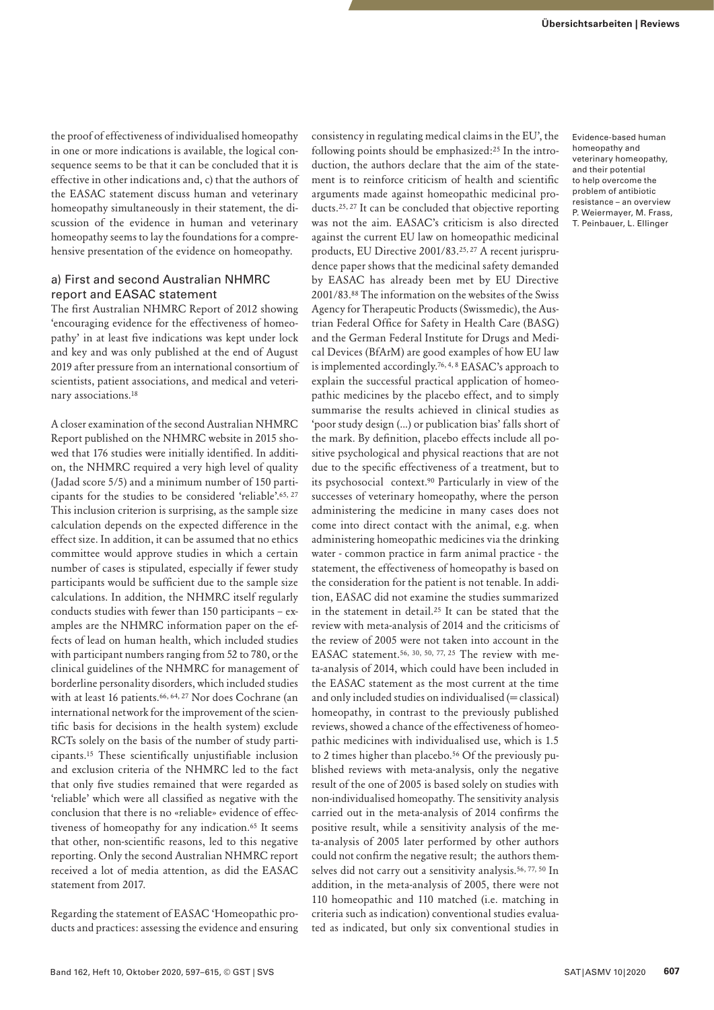the proof of effectiveness of individualised homeopathy in one or more indications is available, the logical consequence seems to be that it can be concluded that it is effective in other indications and, c) that the authors of the EASAC statement discuss human and veterinary homeopathy simultaneously in their statement, the discussion of the evidence in human and veterinary homeopathy seems to lay the foundations for a comprehensive presentation of the evidence on homeopathy.

#### a) First and second Australian NHMRC report and EASAC statement

The first Australian NHMRC Report of 2012 showing 'encouraging evidence for the effectiveness of homeopathy' in at least five indications was kept under lock and key and was only published at the end of August 2019 after pressure from an international consortium of scientists, patient associations, and medical and veterinary associations.18

A closer examination of the second Australian NHMRC Report published on the NHMRC website in 2015 showed that 176 studies were initially identified. In addition, the NHMRC required a very high level of quality (Jadad score 5/5) and a minimum number of 150 participants for the studies to be considered 'reliable'.65, 27 This inclusion criterion is surprising, as the sample size calculation depends on the expected difference in the effect size. In addition, it can be assumed that no ethics committee would approve studies in which a certain number of cases is stipulated, especially if fewer study participants would be sufficient due to the sample size calculations. In addition, the NHMRC itself regularly conducts studies with [fewer than 150 participants](https://www.hri-research.org/resources/homeopathy-the-debate/the-australian-report-on-homeopathy/australian-report-faqs) – examples are the NHMRC information paper on the effects of lead on human health, which included studies with participant numbers ranging from 52 to 780, or the clinical guidelines of the NHMRC for management of borderline personality disorders, which included studies with at least 16 patients.<sup>66, 64, 27</sup> Nor does Cochrane (an international network for the improvement of the scientific basis for decisions in the health system) exclude RCTs solely on the basis of the number of study participants.15 These scientifically unjustifiable inclusion and exclusion criteria of the NHMRC led to the fact that only [five studies remained that were regarded as](https://www.hri-research.org/resources/homeopathy-the-debate/the-australian-report-on-homeopathy/australian-report-faqs)  ['reliable](https://www.hri-research.org/resources/homeopathy-the-debate/the-australian-report-on-homeopathy/australian-report-faqs)' which were all classified as negative with the conclusion that there is no «reliable» evidence of effectiveness of homeopathy for any indication.<sup>65</sup> It seems that other, non-scientific reasons, led to this negative reporting. Only the second Australian NHMRC report received a lot of media attention, as did the EASAC statement from 2017.

Regarding the statement of EASAC 'Homeopathic products and practices: assessing the evidence and ensuring

consistency in regulating medical claims in the EU', the following points should be emphasized:25 In the introduction, the authors declare that the aim of the statement is to reinforce criticism of health and scientific arguments made against homeopathic medicinal products.25, 27 It can be concluded that objective reporting was not the aim. EASAC's criticism is also directed against the current EU law on homeopathic medicinal products, EU Directive 2001/83.25, 27 A recent jurisprudence paper shows that the medicinal safety demanded by EASAC has already been met by EU Directive 2001/83.88 The information on the websites of the Swiss Agency for Therapeutic Products (Swissmedic), the Austrian Federal Office for Safety in Health Care (BASG) and the German Federal Institute for Drugs and Medical Devices (BfArM) are good examples of how EU law is implemented accordingly.76, 4, 8 EASAC's approach to explain the successful practical application of homeopathic medicines by the placebo effect, and to simply summarise the results achieved in clinical studies as 'poor study design (...) or publication bias' falls short of the mark. By definition, placebo effects include all positive psychological and physical reactions that are not due to the [specific effectiveness](https://de.wikipedia.org/wiki/Therapeutische_Wirksamkeit) of a treatment, but to its psychosocial context.90 Particularly in view of the successes of veterinary homeopathy, where the person administering the medicine in many cases does not come into direct contact with the animal, e.g. when administering homeopathic medicines via the drinking water - common practice in farm animal practice - the statement, the effectiveness of homeopathy is based on the consideration for the patient is not tenable. In addition, EASAC did not examine the studies summarized in the statement in detail.25 It can be stated that the review with meta-analysis of 2014 and the criticisms of the review of 2005 were not taken into account in the EASAC statement.<sup>56, 30, 50, 77, 25</sup> The review with meta-analysis of 2014, which could have been included in the EASAC statement as the most current at the time and only included studies on individualised (= classical) homeopathy, in contrast to the previously published reviews, showed a chance of the effectiveness of homeopathic medicines with individualised use, which is 1.5 to 2 times higher than placebo.<sup>56</sup> Of the previously published reviews with meta-analysis, only the negative result of the one of 2005 is based solely on studies with non-individualised homeopathy. The sensitivity analysis carried out in the meta-analysis of 2014 confirms the positive result, while a sensitivity analysis of the meta-analysis of 2005 later performed by other authors could not confirm the negative result; the authors themselves did not carry out a sensitivity analysis.<sup>56, 77, 50</sup> In addition, in the meta-analysis of 2005, there were not 110 homeopathic and 110 matched (i.e. matching in criteria such as indication) conventional studies evaluated as indicated, but only six conventional studies in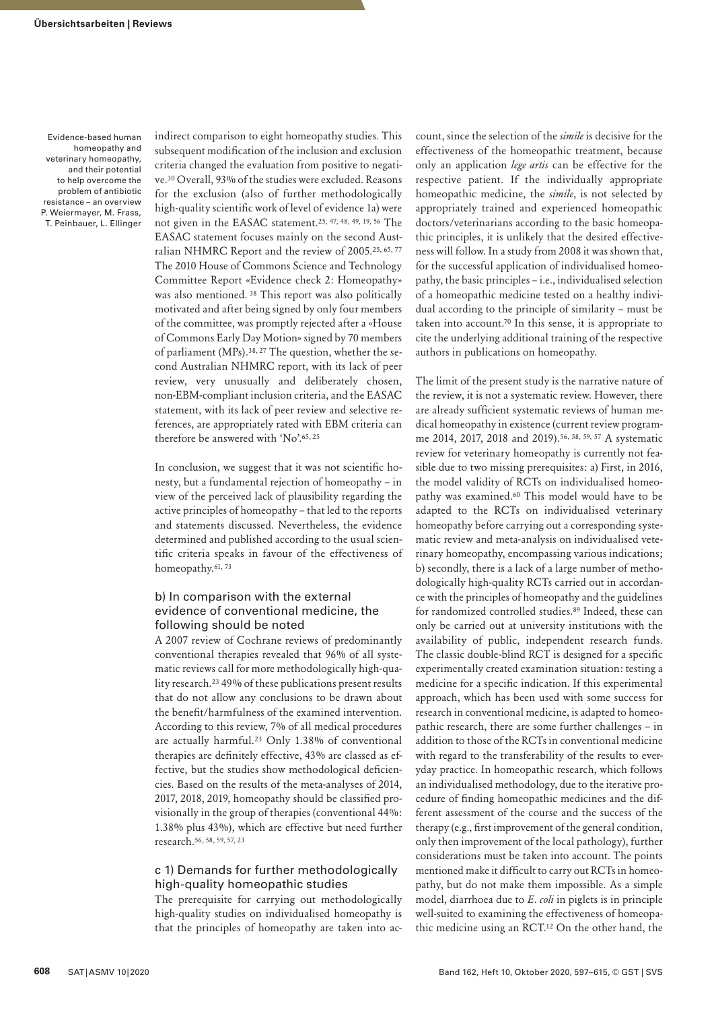indirect comparison to eight homeopathy studies. This subsequent modification of the inclusion and exclusion criteria changed the evaluation from positive to negative.30 Overall, 93% of the studies were excluded. Reasons for the exclusion (also of further methodologically high-quality scientific work of level of evidence 1a) were not given in the EASAC statement.25, 47, 48, 49, 19, 56 The EASAC statement focuses mainly on the second Australian NHMRC Report and the review of 2005.25, 65, 77 The 2010 House of Commons Science and Technology Committee Report «Evidence check 2: Homeopathy» was also mentioned. 38 This report was also politically motivated and after being signed by only four members of the committee, was promptly rejected after a «House of Commons Early Day Motion» signed by 70 members of parliament (MPs).38, 27 The question, whether the second Australian NHMRC report, with its lack of peer review, very unusually and deliberately chosen, non-EBM-compliant inclusion criteria, and the EASAC statement, with its lack of peer review and selective references, are appropriately rated with EBM criteria can therefore be answered with 'No'.65, 25

In conclusion, we suggest that it was not scientific honesty, but a fundamental rejection of homeopathy – in view of the perceived lack of plausibility regarding the active principles of homeopathy – that led to the reports and statements discussed. Nevertheless, the evidence determined and published according to the usual scientific criteria speaks in favour of the effectiveness of homeopathy.<sup>61, 73</sup>

#### b) In comparison with the external evidence of conventional medicine, the following should be noted

A 2007 review of Cochrane reviews of predominantly conventional therapies revealed that 96% of all systematic reviews call for more methodologically high-quality research.<sup>23</sup> 49% of these publications present results that do not allow any conclusions to be drawn about the benefit/harmfulness of the examined intervention. According to this review, 7% of all medical procedures are actually harmful.23 Only 1.38% of conventional therapies are definitely effective, 43% are classed as effective, but the studies show methodological deficiencies. Based on the results of the meta-analyses of 2014, 2017, 2018, 2019, homeopathy should be classified provisionally in the group of therapies (conventional 44%: 1.38% plus 43%), which are effective but need further research.56, 58, 59, 57, 23

#### c 1) Demands for further methodologically high-quality homeopathic studies

The prerequisite for carrying out methodologically high-quality studies on individualised homeopathy is that the principles of homeopathy are taken into account, since the selection of the *simile* is decisive for the effectiveness of the homeopathic treatment, because only an application *lege artis* can be effective for the respective patient. If the individually appropriate homeopathic medicine, the *simile*, is not selected by appropriately trained and experienced homeopathic doctors/veterinarians according to the basic homeopathic principles, it is unlikely that the desired effectiveness will follow. In a study from 2008 it was shown that, for the successful application of individualised homeopathy, the basic principles – i.e., individualised selection of a homeopathic medicine tested on a healthy individual according to the principle of similarity – must be taken into account.70 In this sense, it is appropriate to cite the underlying additional training of the respective authors in publications on homeopathy.

The limit of the present study is the narrative nature of the review, it is not a systematic review. However, there are already sufficient systematic reviews of human medical homeopathy in existence (current review programme 2014, 2017, 2018 and 2019).56, 58, 59, 57 A systematic review for veterinary homeopathy is currently not feasible due to two missing prerequisites: a) First, in 2016, the model validity of RCTs on individualised homeopathy was examined.<sup>60</sup> This model would have to be adapted to the RCTs on individualised veterinary homeopathy before carrying out a corresponding systematic review and meta-analysis on individualised veterinary homeopathy, encompassing various indications; b) secondly, there is a lack of a large number of methodologically high-quality RCTs carried out in accordance with the principles of homeopathy and the guidelines for randomized controlled studies.89 Indeed, these can only be carried out at university institutions with the availability of public, independent research funds. The classic double-blind RCT is designed for a specific experimentally created examination situation: testing a medicine for a specific indication. If this experimental approach, which has been used with some success for research in conventional medicine, is adapted to homeopathic research, there are some further challenges – in addition to those of the RCTs in conventional medicine with regard to the transferability of the results to everyday practice. In homeopathic research, which follows an individualised methodology, due to the iterative procedure of finding homeopathic medicines and the different assessment of the course and the success of the therapy (e.g., first improvement of the general condition, only then improvement of the local pathology), further considerations must be taken into account. The points mentioned make it difficult to carry out RCTs in homeopathy, but do not make them impossible. As a simple model, diarrhoea due to *E. coli* in piglets is in principle well-suited to examining the effectiveness of homeopathic medicine using an RCT.12 On the other hand, the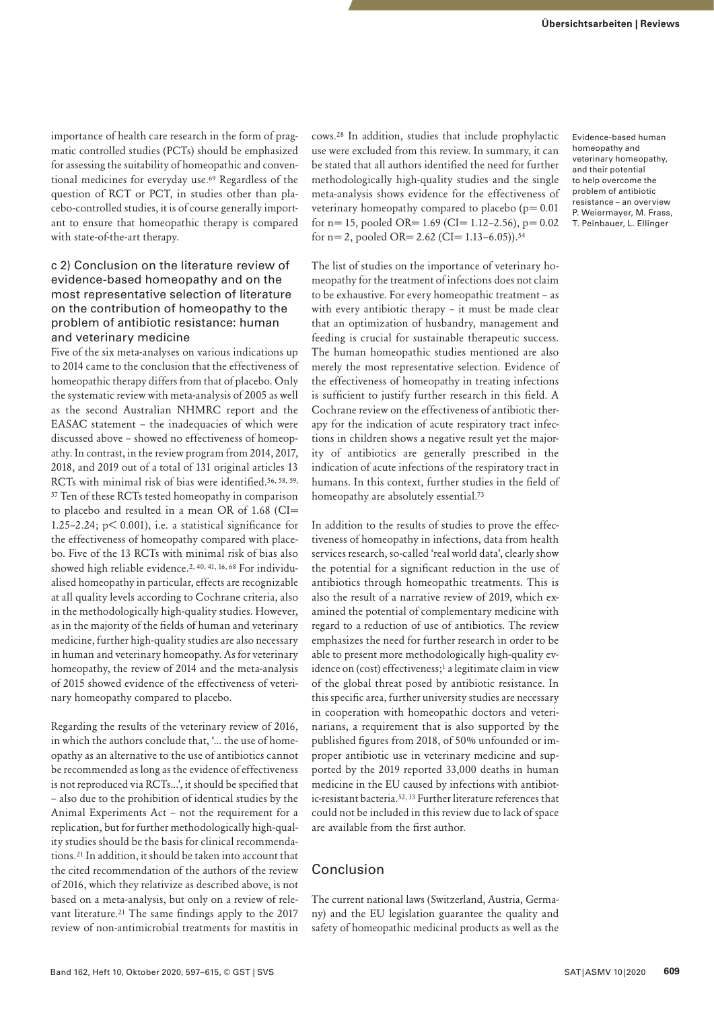importance of health care research in the form of pragmatic controlled studies (PCTs) should be emphasized for assessing the suitability of homeopathic and conventional medicines for everyday use.69 Regardless of the question of RCT or PCT, in studies other than placebo-controlled studies, it is of course generally important to ensure that homeopathic therapy is compared with state-of-the-art therapy.

#### c 2) Conclusion on the literature review of evidence-based homeopathy and on the most representative selection of literature on the contribution of homeopathy to the problem of antibiotic resistance: human and veterinary medicine

Five of the six meta-analyses on various indications up to 2014 came to the conclusion that the effectiveness of homeopathic therapy differs from that of placebo. Only the systematic review with meta-analysis of 2005 as well as the second Australian NHMRC report and the EASAC statement – the inadequacies of which were discussed above – showed no effectiveness of homeopathy. In contrast, in the review program from 2014, 2017, 2018, and 2019 out of a total of 131 original articles 13 RCTs with minimal risk of bias were identified.56, 58, 59, 57 Ten of these RCTs tested homeopathy in comparison to placebo and resulted in a mean OR of 1.68 (CI= 1.25–2.24; p< 0.001), i.e. a statistical significance for the effectiveness of homeopathy compared with placebo. Five of the 13 RCTs with minimal risk of bias also showed high reliable evidence.2, 40, 41, 16, 68 For individualised homeopathy in particular, effects are recognizable at all quality levels according to Cochrane criteria, also in the methodologically high-quality studies. However, as in the majority of the fields of human and veterinary medicine, further high-quality studies are also necessary in human and veterinary homeopathy. As for veterinary homeopathy, the review of 2014 and the meta-analysis of 2015 showed evidence of the effectiveness of veterinary homeopathy compared to placebo.

Regarding the results of the veterinary review of 2016, in which the authors conclude that, '... the use of homeopathy as an alternative to the use of antibiotics cannot be recommended as long as the evidence of effectiveness is not reproduced via RCTs...', it should be specified that – also due to the prohibition of identical studies by the Animal Experiments Act – not the requirement for a replication, but for further methodologically high-quality studies should be the basis for clinical recommendations.21 In addition, it should be taken into account that the cited recommendation of the authors of the review of 2016, which they relativize as described above, is not based on a meta-analysis, but only on a review of relevant literature.<sup>21</sup> The same findings apply to the 2017 review of non-antimicrobial treatments for mastitis in

cows.28 In addition, studies that include prophylactic use were excluded from this review. In summary, it can be stated that all authors identified the need for further methodologically high-quality studies and the single meta-analysis shows evidence for the effectiveness of veterinary homeopathy compared to placebo ( $p= 0.01$ ) for  $n= 15$ , pooled OR= 1.69 (CI= 1.12-2.56),  $p= 0.02$ for n= 2, pooled OR=  $2.62$  (CI=  $1.13-6.05$ )).<sup>54</sup>

The list of studies on the importance of veterinary homeopathy for the treatment of infections does not claim to be exhaustive. For every homeopathic treatment – as with every antibiotic therapy – it must be made clear that an optimization of husbandry, management and feeding is crucial for sustainable therapeutic success. The human homeopathic studies mentioned are also merely the most representative selection. Evidence of the effectiveness of homeopathy in treating infections is sufficient to justify further research in this field. A Cochrane review on the effectiveness of antibiotic therapy for the indication of acute respiratory tract infections in children shows a negative result yet the majority of antibiotics are generally prescribed in the indication of acute infections of the respiratory tract in humans. In this context, further studies in the field of homeopathy are absolutely essential.<sup>73</sup>

In addition to the results of studies to prove the effectiveness of homeopathy in infections, data from health services research, so-called 'real world data', clearly show the potential for a significant reduction in the use of antibiotics through homeopathic treatments. This is also the result of a narrative review of 2019, which examined the potential of complementary medicine with regard to a reduction of use of antibiotics. The review emphasizes the need for further research in order to be able to present more methodologically high-quality evidence on (cost) effectiveness;<sup>1</sup> a legitimate claim in view of the global threat posed by antibiotic resistance. In this specific area, further university studies are necessary in cooperation with homeopathic doctors and veterinarians, a requirement that is also supported by the published figures from 2018, of 50% unfounded or improper antibiotic use in veterinary medicine and supported by the 2019 reported 33,000 deaths in human medicine in the EU caused by infections with antibiotic-resistant bacteria.52, 13 Further literature references that could not be included in this review due to lack of space are available from the first author.

#### Conclusion

The current national laws (Switzerland, Austria, Germany) and the EU legislation guarantee the quality and safety of homeopathic medicinal products as well as the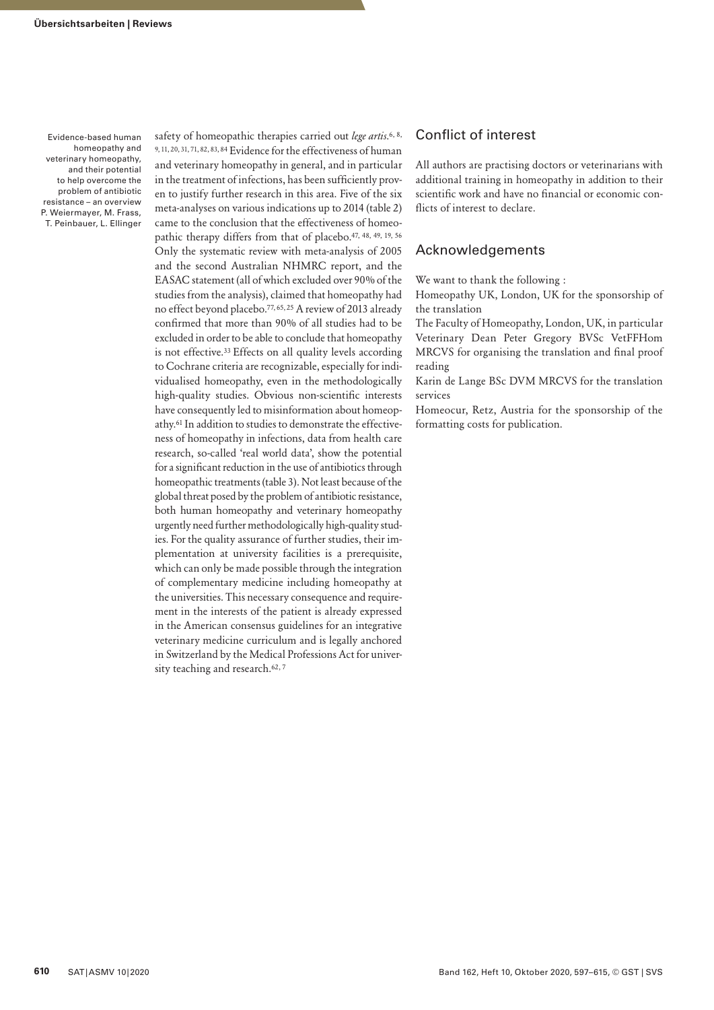safety of homeopathic therapies carried out *lege artis*.<sup>6, 8,</sup> 9, 11, 20, 31, 71, 82, 83, 84 Evidence for the effectiveness of human and veterinary homeopathy in general, and in particular in the treatment of infections, has been sufficiently proven to justify further research in this area. Five of the six meta-analyses on various indications up to 2014 (table 2) came to the conclusion that the effectiveness of homeopathic therapy differs from that of placebo.47, 48, 49, 19, 56 Only the systematic review with meta-analysis of 2005 and the second Australian NHMRC report, and the EASAC statement (all of which excluded over 90% of the studies from the analysis), claimed that homeopathy had no effect beyond placebo.77, 65, 25 A review of 2013 already confirmed that more than 90% of all studies had to be excluded in order to be able to conclude that homeopathy is not effective.<sup>33</sup> Effects on all quality levels according to Cochrane criteria are recognizable, especially for individualised homeopathy, even in the methodologically high-quality studies. Obvious non-scientific interests have consequently led to misinformation about homeopathy.61 In addition to studies to demonstrate the effectiveness of homeopathy in infections, data from health care research, so-called 'real world data', show the potential for a significant reduction in the use of antibiotics through homeopathic treatments (table 3). Not least because of the global threat posed by the problem of antibiotic resistance, both human homeopathy and veterinary homeopathy urgently need further methodologically high-quality studies. For the quality assurance of further studies, their implementation at university facilities is a prerequisite, which can only be made possible through the integration of complementary medicine including homeopathy at the universities. This necessary consequence and requirement in the interests of the patient is already expressed in the American consensus guidelines for an integrative veterinary medicine curriculum and is legally anchored in Switzerland by the Medical Professions Act for university teaching and research.<sup>62, 7</sup>

## Conflict of interest

All authors are practising doctors or veterinarians with additional training in homeopathy in addition to their scientific work and have no financial or economic conflicts of interest to declare.

#### Acknowledgements

We want to thank the following :

Homeopathy UK, London, UK for the sponsorship of the translation

The Faculty of Homeopathy, London, UK, in particular Veterinary Dean Peter Gregory BVSc VetFFHom MRCVS for organising the translation and final proof reading

Karin de Lange BSc DVM MRCVS for the translation services

Homeocur, Retz, Austria for the sponsorship of the formatting costs for publication.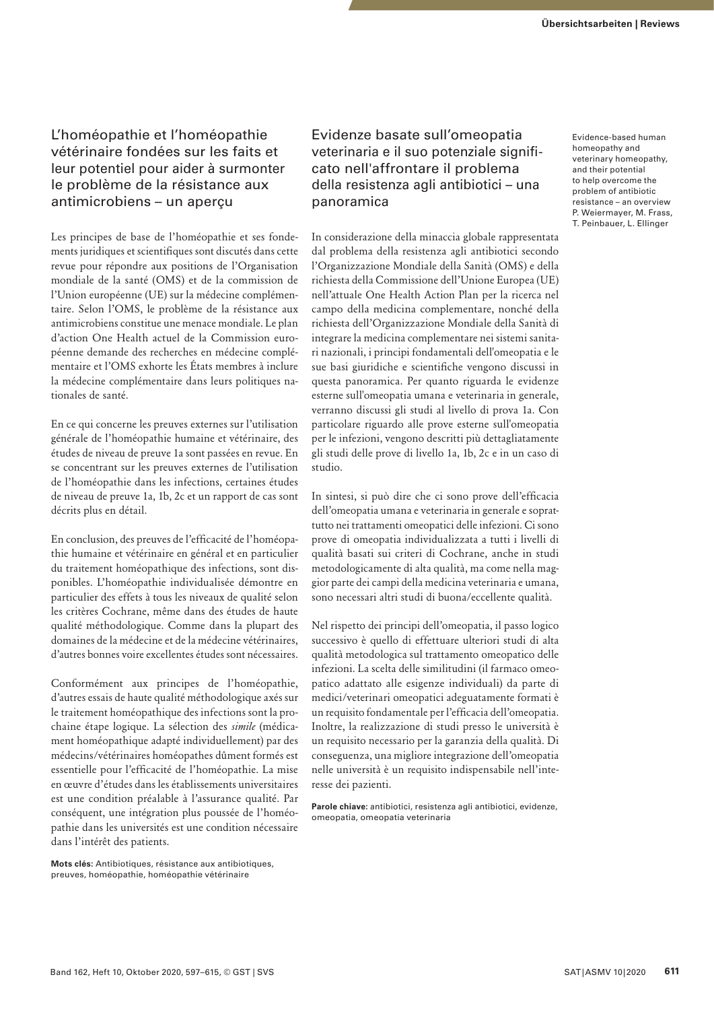# L'homéopathie et l'homéopathie vétérinaire fondées sur les faits et leur potentiel pour aider à surmonter le problème de la résistance aux antimicrobiens – un aperçu

Les principes de base de l'homéopathie et ses fondements juridiques et scientifiques sont discutés dans cette revue pour répondre aux positions de l'Organisation mondiale de la santé (OMS) et de la commission de l'Union européenne (UE) sur la médecine complémentaire. Selon l'OMS, le problème de la résistance aux antimicrobiens constitue une menace mondiale. Le plan d'action One Health actuel de la Commission européenne demande des recherches en médecine complémentaire et l'OMS exhorte les États membres à inclure la médecine complémentaire dans leurs politiques nationales de santé.

En ce qui concerne les preuves externes sur l'utilisation générale de l'homéopathie humaine et vétérinaire, des études de niveau de preuve 1a sont passées en revue. En se concentrant sur les preuves externes de l'utilisation de l'homéopathie dans les infections, certaines études de niveau de preuve 1a, 1b, 2c et un rapport de cas sont décrits plus en détail.

En conclusion, des preuves de l'efficacité de l'homéopathie humaine et vétérinaire en général et en particulier du traitement homéopathique des infections, sont disponibles. L'homéopathie individualisée démontre en particulier des effets à tous les niveaux de qualité selon les critères Cochrane, même dans des études de haute qualité méthodologique. Comme dans la plupart des domaines de la médecine et de la médecine vétérinaires, d'autres bonnes voire excellentes études sont nécessaires.

Conformément aux principes de l'homéopathie, d'autres essais de haute qualité méthodologique axés sur le traitement homéopathique des infections sont la prochaine étape logique. La sélection des *simile* (médicament homéopathique adapté individuellement) par des médecins/vétérinaires homéopathes dûment formés est essentielle pour l'efficacité de l'homéopathie. La mise en œuvre d'études dans les établissements universitaires est une condition préalable à l'assurance qualité. Par conséquent, une intégration plus poussée de l'homéopathie dans les universités est une condition nécessaire dans l'intérêt des patients.

**Mots clés:** Antibiotiques, résistance aux antibiotiques, preuves, homéopathie, homéopathie vétérinaire

# Evidenze basate sull'omeopatia veterinaria e il suo potenziale significato nell'affrontare il problema della resistenza agli antibiotici – una panoramica

In considerazione della minaccia globale rappresentata dal problema della resistenza agli antibiotici secondo l'Organizzazione Mondiale della Sanità (OMS) e della richiesta della Commissione dell'Unione Europea (UE) nell'attuale One Health Action Plan per la ricerca nel campo della medicina complementare, nonché della richiesta dell'Organizzazione Mondiale della Sanità di integrare la medicina complementare nei sistemi sanitari nazionali, i principi fondamentali dell'omeopatia e le sue basi giuridiche e scientifiche vengono discussi in questa panoramica. Per quanto riguarda le evidenze esterne sull'omeopatia umana e veterinaria in generale, verranno discussi gli studi al livello di prova 1a. Con particolare riguardo alle prove esterne sull'omeopatia per le infezioni, vengono descritti più dettagliatamente gli studi delle prove di livello 1a, 1b, 2c e in un caso di studio.

In sintesi, si può dire che ci sono prove dell'efficacia dell'omeopatia umana e veterinaria in generale e soprattutto nei trattamenti omeopatici delle infezioni. Ci sono prove di omeopatia individualizzata a tutti i livelli di qualità basati sui criteri di Cochrane, anche in studi metodologicamente di alta qualità, ma come nella maggior parte dei campi della medicina veterinaria e umana, sono necessari altri studi di buona/eccellente qualità.

Nel rispetto dei principi dell'omeopatia, il passo logico successivo è quello di effettuare ulteriori studi di alta qualità metodologica sul trattamento omeopatico delle infezioni. La scelta delle similitudini (il farmaco omeopatico adattato alle esigenze individuali) da parte di medici/veterinari omeopatici adeguatamente formati è un requisito fondamentale per l'efficacia dell'omeopatia. Inoltre, la realizzazione di studi presso le università è un requisito necessario per la garanzia della qualità. Di conseguenza, una migliore integrazione dell'omeopatia nelle università è un requisito indispensabile nell'interesse dei pazienti.

**Parole chiave:** antibiotici, resistenza agli antibiotici, evidenze, omeopatia, omeopatia veterinaria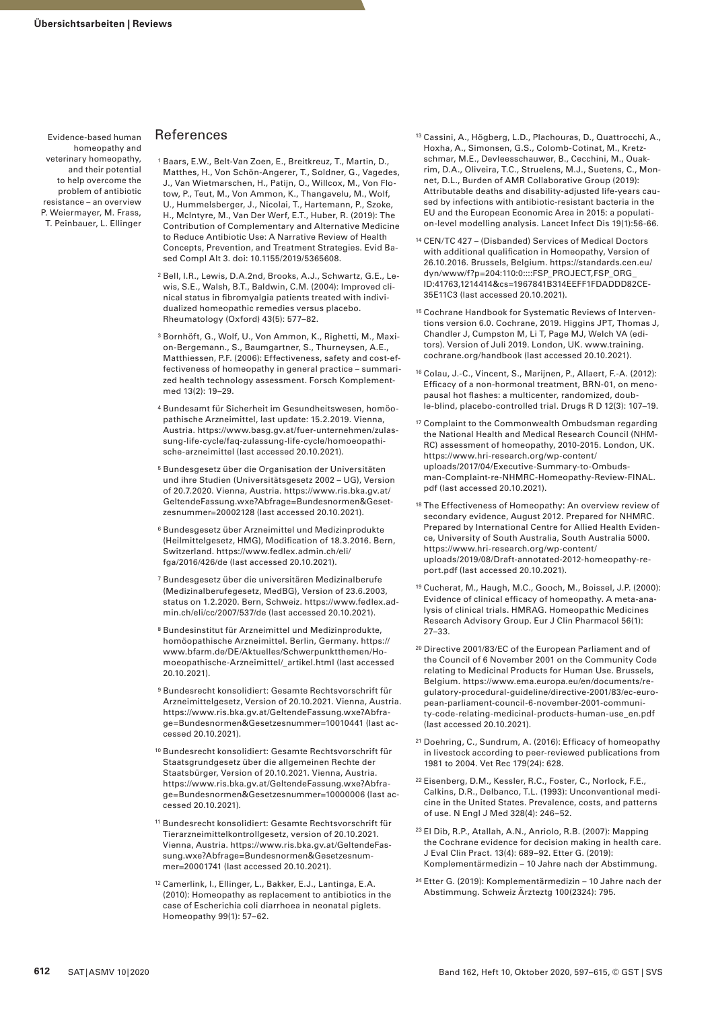## References

- 1 Baars, E.W., Belt-Van Zoen, E., Breitkreuz, T., Martin, D., Matthes, H., Von Schön-Angerer, T., Soldner, G., Vagedes, J., Van Wietmarschen, H., Patijn, O., Willcox, M., Von Flotow, P., Teut, M., Von Ammon, K., Thangavelu, M., Wolf, U., Hummelsberger, J., Nicolai, T., Hartemann, P., Szoke, H., McIntyre, M., Van Der Werf, E.T., Huber, R. (2019): The Contribution of Complementary and Alternative Medicine to Reduce Antibiotic Use: A Narrative Review of Health Concepts, Prevention, and Treatment Strategies. Evid Based Compl Alt 3. doi: 10.1155/2019/5365608.
- 2 Bell, I.R., Lewis, D.A.2nd, Brooks, A.J., Schwartz, G.E., Lewis, S.E., Walsh, B.T., Baldwin, C.M. (2004): Improved clinical status in fibromyalgia patients treated with individualized homeopathic remedies versus placebo. Rheumatology (Oxford) 43(5): 577–82.
- 3 Bornhöft, G., Wolf, U., Von Ammon, K., Righetti, M., Maxion-Bergemann., S., Baumgartner, S., Thurneysen, A.E., Matthiessen, P.F. (2006): Effectiveness, safety and cost-effectiveness of homeopathy in general practice – summarized health technology assessment. Forsch Komplementmed 13(2): 19–29.
- 4 Bundesamt für Sicherheit im Gesundheitswesen, homöopathische Arzneimittel, last update: 15.2.2019. Vienna, Austria. https://www.basg.gv.at/fuer-unternehmen/zulassung-life-cycle/faq-zulassung-life-cycle/homoeopathische-arzneimittel (last accessed 20.10.2021).
- 5 Bundesgesetz über die Organisation der Universitäten und ihre Studien (Universitätsgesetz 2002 – UG), Version of 20.7.2020. Vienna, Austria. https://www.ris.bka.gv.at/ GeltendeFassung.wxe?Abfrage=Bundesnormen&Gesetzesnummer=20002128 (last accessed 20.10.2021).
- 6 Bundesgesetz über Arzneimittel und Medizinprodukte (Heilmittelgesetz, HMG), Modification of 18.3.2016. Bern, Switzerland. https://www.fedlex.admin.ch/eli/ fga/2016/426/de (last accessed 20.10.2021).
- 7 Bundesgesetz über die universitären Medizinalberufe (Medizinalberufegesetz, MedBG), Version of 23.6.2003, status on 1.2.2020. Bern, Schweiz. https://www.fedlex.admin.ch/eli/cc/2007/537/de (last accessed 20.10.2021).
- 8 Bundesinstitut für Arzneimittel und Medizinprodukte, homöopathische Arzneimittel. Berlin, Germany. https:// www.bfarm.de/DE/Aktuelles/Schwerpunktthemen/Homoeopathische-Arzneimittel/\_artikel.html (last accessed 20.10.2021).
- 9 Bundesrecht konsolidiert: Gesamte Rechtsvorschrift für Arzneimittelgesetz, Version of 20.10.2021. Vienna, Austria. https://www.ris.bka.gv.at/GeltendeFassung.wxe?Abfrage=Bundesnormen&Gesetzesnummer=10010441 (last accessed 20.10.2021).
- 10 Bundesrecht konsolidiert: Gesamte Rechtsvorschrift für Staatsgrundgesetz über die allgemeinen Rechte der Staatsbürger, Version of 20.10.2021. Vienna, Austria. https://www.ris.bka.gv.at/GeltendeFassung.wxe?Abfrage=Bundesnormen&Gesetzesnummer=10000006 (last accessed 20.10.2021).
- 11 Bundesrecht konsolidiert: Gesamte Rechtsvorschrift für Tierarzneimittelkontrollgesetz, version of 20.10.2021. Vienna, Austria. https://www.ris.bka.gv.at/GeltendeFassung.wxe?Abfrage=Bundesnormen&Gesetzesnummer=20001741 (last accessed 20.10.2021).
- 12 Camerlink, I., Ellinger, L., Bakker, E.J., Lantinga, E.A. (2010): Homeopathy as replacement to antibiotics in the case of Escherichia coli diarrhoea in neonatal piglets. Homeopathy 99(1): 57–62.
- 13 Cassini, A., Högberg, L.D., Plachouras, D., Quattrocchi, A., Hoxha, A., Simonsen, G.S., Colomb-Cotinat, M., Kretzschmar, M.E., Devleesschauwer, B., Cecchini, M., Ouakrim, D.A., Oliveira, T.C., Struelens, M.J., Suetens, C., Monnet, D.L., Burden of AMR Collaborative Group (2019): Attributable deaths and disability-adjusted life-years caused by infections with antibiotic-resistant bacteria in the EU and the European Economic Area in 2015: a population-level modelling analysis. Lancet Infect Dis 19(1):56-66.
- 14 CEN/TC 427 (Disbanded) Services of Medical Doctors with additional qualification in Homeopathy, Version of 26.10.2016. Brussels, Belgium. https://standards.cen.eu/ dyn/www/f?p=204:110:0::::FSP\_PROJECT,FSP\_ORG\_ ID:41763,1214414&cs=1967841B314EEFF1FDADDD82CE-35E11C3 (last accessed 20.10.2021).
- 15 Cochrane Handbook for Systematic Reviews of Interventions version 6.0. Cochrane, 2019. Higgins JPT, Thomas J, Chandler J, Cumpston M, Li T, Page MJ, Welch VA (editors). Version of Juli 2019. London, UK. www.training. cochrane.org/handbook (last accessed 20.10.2021).
- 16 Colau, J.-C., Vincent, S., Marijnen, P., Allaert, F.-A. (2012): Efficacy of a non-hormonal treatment, BRN-01, on menopausal hot flashes: a multicenter, randomized, double-blind, placebo-controlled trial. Drugs R D 12(3): 107–19.
- 17 Complaint to the Commonwealth Ombudsman regarding the National Health and Medical Research Council (NHM-RC) assessment of homeopathy, 2010-2015. London, UK. https://www.hri-research.org/wp-content/ uploads/2017/04/Executive-Summary-to-Ombudsman-Complaint-re-NHMRC-Homeopathy-Review-FINAL. pdf (last accessed 20.10.2021).
- <sup>18</sup> The Effectiveness of Homeopathy: An overview review of secondary evidence, August 2012. Prepared for NHMRC. Prepared by International Centre for Allied Health Evidence, University of South Australia, South Australia 5000. https://www.hri-research.org/wp-content/ uploads/2019/08/Draft-annotated-2012-homeopathy-report.pdf (last accessed 20.10.2021).
- 19 Cucherat, M., Haugh, M.C., Gooch, M., Boissel, J.P. (2000): Evidence of clinical efficacy of homeopathy. A meta-analysis of clinical trials. HMRAG. Homeopathic Medicines Research Advisory Group. Eur J Clin Pharmacol 56(1): 27–33.
- 20 Directive 2001/83/EC of the European Parliament and of the Council of 6 November 2001 on the Community Code relating to Medicinal Products for Human Use. Brussels, Belgium. https://www.ema.europa.eu/en/documents/regulatory-procedural-guideline/directive-2001/83/ec-european-parliament-council-6-november-2001-community-code-relating-medicinal-products-human-use\_en.pdf (last accessed 20.10.2021).
- 21 Doehring, C., Sundrum, A. (2016): Efficacy of homeopathy in livestock according to peer-reviewed publications from 1981 to 2004. Vet Rec 179(24): 628.
- 22 Eisenberg, D.M., Kessler, R.C., Foster, C., Norlock, F.E., Calkins, D.R., Delbanco, T.L. (1993): Unconventional medicine in the United States. Prevalence, costs, and patterns of use. N Engl J Med 328(4): 246–52.
- 23 El Dib, R.P., Atallah, A.N., Anriolo, R.B. (2007): Mapping the Cochrane evidence for decision making in health care. J Eval Clin Pract. 13(4): 689–92. Etter G. (2019): Komplementärmedizin – 10 Jahre nach der Abstimmung.
- 24 Etter G. (2019): Komplementärmedizin 10 Jahre nach der Abstimmung. Schweiz Ärzteztg 100(2324): 795.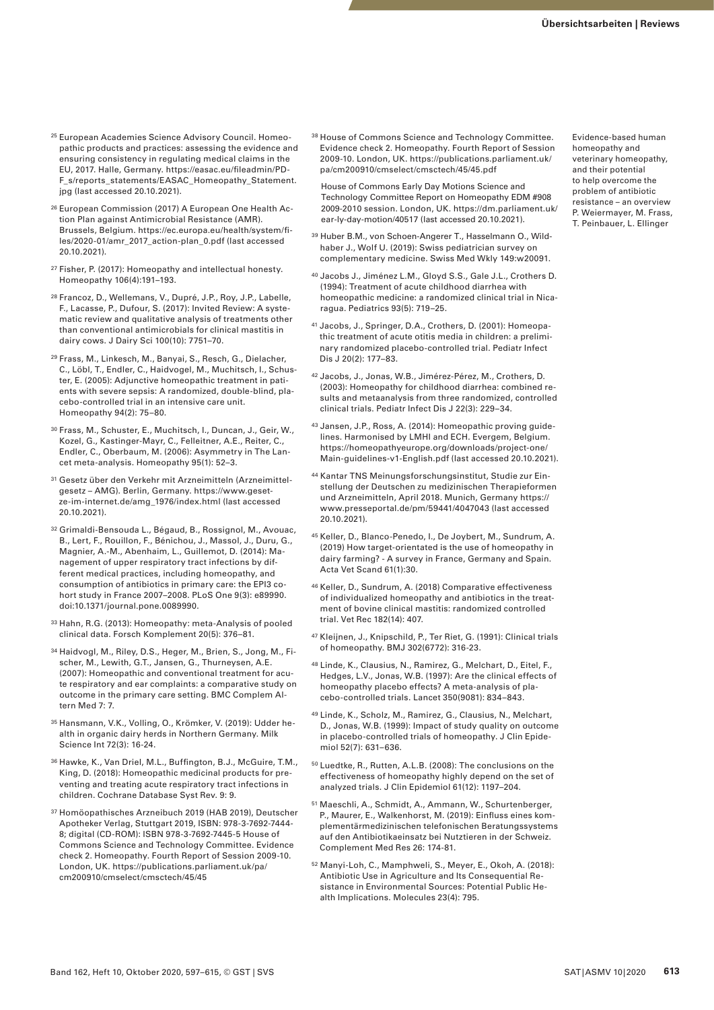- 25 European Academies Science Advisory Council. Homeopathic products and practices: assessing the evidence and ensuring consistency in regulating medical claims in the EU, 2017. Halle, Germany. https://easac.eu/fileadmin/PD-F\_s/reports\_statements/EASAC\_Homeopathy\_Statement. jpg (last accessed 20.10.2021).
- 26 European Commission (2017) A European One Health Action Plan against Antimicrobial Resistance (AMR). Brussels, Belgium. https://ec.europa.eu/health/system/files/2020-01/amr\_2017\_action-plan\_0.pdf (last accessed 20.10.2021).
- 27 Fisher, P. (2017): Homeopathy and intellectual honesty. Homeopathy 106(4):191–193.
- 28 Francoz, D., Wellemans, V., Dupré, J.P., Roy, J.P., Labelle, F., Lacasse, P., Dufour, S. (2017): Invited Review: A systematic review and qualitative analysis of treatments other than conventional antimicrobials for clinical mastitis in dairy cows. J Dairy Sci 100(10): 7751–70.
- 29 Frass, M., Linkesch, M., Banyai, S., Resch, G., Dielacher, C., Löbl, T., Endler, C., Haidvogel, M., Muchitsch, I., Schuster, E. (2005): Adjunctive homeopathic treatment in patients with severe sepsis: A randomized, double-blind, placebo-controlled trial in an intensive care unit. Homeopathy 94(2): 75–80.
- 30 Frass, M., Schuster, E., Muchitsch, I., Duncan, J., Geir, W., Kozel, G., Kastinger-Mayr, C., Felleitner, A.E., Reiter, C., Endler, C., Oberbaum, M. (2006): Asymmetry in The Lancet meta-analysis. Homeopathy 95(1): 52–3.
- 31 Gesetz über den Verkehr mit Arzneimitteln (Arzneimittelgesetz – AMG). Berlin, Germany. https://www.gesetze-im-internet.de/amg\_1976/index.html (last accessed 20.10.2021).
- 32 Grimaldi-Bensouda L., Bégaud, B., Rossignol, M., Avouac, B., Lert, F., Rouillon, F., Bénichou, J., Massol, J., Duru, G., Magnier, A.-M., Abenhaim, L., Guillemot, D. (2014): Management of upper respiratory tract infections by different medical practices, including homeopathy, and consumption of antibiotics in primary care: the EPI3 cohort study in France 2007–2008. PLoS One 9(3): e89990. doi:10.1371/journal.pone.0089990.
- 33 Hahn, R.G. (2013): Homeopathy: meta-Analysis of pooled clinical data. Forsch Komplement 20(5): 376–81.
- 34 Haidvogl, M., Riley, D.S., Heger, M., Brien, S., Jong, M., Fischer, M., Lewith, G.T., Jansen, G., Thurneysen, A.E. (2007): Homeopathic and conventional treatment for acute respiratory and ear complaints: a comparative study on outcome in the primary care setting. BMC Complem Altern Med 7: 7.
- 35 Hansmann, V.K., Volling, O., Krömker, V. (2019): Udder health in organic dairy herds in Northern Germany. Milk Science Int 72(3): 16-24.
- 36 Hawke, K., Van Driel, M.L., Buffington, B.J., McGuire, T.M., King, D. (2018): Homeopathic medicinal products for preventing and treating acute respiratory tract infections in children. Cochrane Database Syst Rev. 9: 9.
- 37 Homöopathisches Arzneibuch 2019 (HAB 2019), Deutscher Apotheker Verlag, Stuttgart 2019, ISBN: 978-3-7692-7444- 8; digital (CD-ROM): ISBN 978-3-7692-7445-5 House of Commons Science and Technology Committee. Evidence check 2. Homeopathy. Fourth Report of Session 2009-10. London, UK. https://publications.parliament.uk/pa/ cm200910/cmselect/cmsctech/45/45

38 House of Commons Science and Technology Committee. Evidence check 2. Homeopathy. Fourth Report of Session 2009-10. London, UK. https://publications.parliament.uk/ pa/cm200910/cmselect/cmsctech/45/45.pdf

 House of Commons Early Day Motions Science and Technology Committee Report on Homeopathy EDM #908 2009-2010 session. London, UK. https://dm.parliament.uk/ ear-ly-day-motion/40517 (last accessed 20.10.2021).

- <sup>39</sup> Huber B.M., von Schoen-Angerer T., Hasselmann O., Wildhaber J., Wolf U. (2019): Swiss pediatrician survey on complementary medicine. Swiss Med Wkly 149:w20091.
- 40 Jacobs J., Jiménez L.M., Gloyd S.S., Gale J.L., Crothers D. (1994): Treatment of acute childhood diarrhea with homeopathic medicine: a randomized clinical trial in Nicaragua. Pediatrics 93(5): 719–25.
- 41 Jacobs, J., Springer, D.A., Crothers, D. (2001): Homeopathic treatment of acute otitis media in children: a preliminary randomized placebo-controlled trial. Pediatr Infect Dis J 20(2): 177–83.
- 42 Jacobs, J., Jonas, W.B., Jimérez-Pérez, M., Crothers, D. (2003): Homeopathy for childhood diarrhea: combined results and metaanalysis from three randomized, controlled clinical trials. Pediatr Infect Dis J 22(3): 229–34.
- 43 Jansen, J.P., Ross, A. (2014): Homeopathic proving guidelines. Harmonised by LMHI and ECH. Evergem, Belgium. https://homeopathyeurope.org/downloads/project-one/ Main-guidelines-v1-English.pdf (last accessed 20.10.2021).
- 44 Kantar TNS Meinungsforschungsinstitut, Studie zur Einstellung der Deutschen zu medizinischen Therapieformen und Arzneimitteln, April 2018. Munich, Germany https:// www.presseportal.de/pm/59441/4047043 (last accessed 20.10.2021).
- 45 Keller, D., Blanco-Penedo, I., De Joybert, M., Sundrum, A. (2019) How target-orientated is the use of homeopathy in dairy farming? - A survey in France, Germany and Spain. Acta Vet Scand 61(1):30.
- 46 Keller, D., Sundrum, A. (2018) Comparative effectiveness of individualized homeopathy and antibiotics in the treatment of bovine clinical mastitis: randomized controlled trial. Vet Rec 182(14): 407.
- 47 Kleijnen, J., Knipschild, P., Ter Riet, G. (1991): Clinical trials of homeopathy. BMJ 302(6772): 316-23.
- 48 Linde, K., Clausius, N., Ramirez, G., Melchart, D., Eitel, F., Hedges, L.V., Jonas, W.B. (1997): Are the clinical effects of homeopathy placebo effects? A meta-analysis of placebo-controlled trials. Lancet 350(9081): 834–843.
- 49 Linde, K., Scholz, M., Ramirez, G., Clausius, N., Melchart, D., Jonas, W.B. (1999): Impact of study quality on outcome in placebo-controlled trials of homeopathy. J Clin Epidemiol 52(7): 631–636.
- 50 Luedtke, R., Rutten, A.L.B. (2008): The conclusions on the effectiveness of homeopathy highly depend on the set of analyzed trials. J Clin Epidemiol 61(12): 1197–204.
- 51 Maeschli, A., Schmidt, A., Ammann, W., Schurtenberger, P., Maurer, E., Walkenhorst, M. (2019): Einfluss eines komplementärmedizinischen telefonischen Beratungssystems auf den Antibiotikaeinsatz bei Nutztieren in der Schweiz. Complement Med Res 26: 174-81.
- 52 Manyi-Loh, C., Mamphweli, S., Meyer, E., Okoh, A. (2018): Antibiotic Use in Agriculture and Its Consequential Resistance in Environmental Sources: Potential Public Health Implications. Molecules 23(4): 795.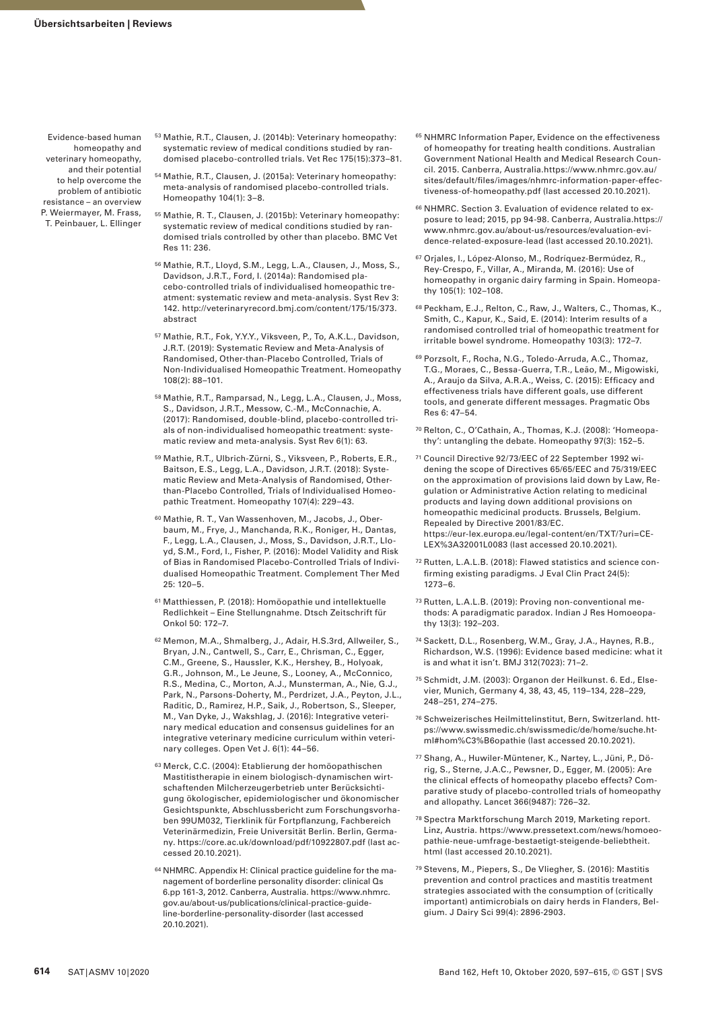- 53 Mathie, R.T., Clausen, J. (2014b): Veterinary homeopathy: systematic review of medical conditions studied by randomised placebo-controlled trials. Vet Rec 175(15):373–81.
- 54 Mathie, R.T., Clausen, J. (2015a): Veterinary homeopathy: meta-analysis of randomised placebo-controlled trials. Homeopathy 104(1): 3–8.
- 55 Mathie, R. T., Clausen, J. (2015b): Veterinary homeopathy: systematic review of medical conditions studied by randomised trials controlled by other than placebo. BMC Vet Res 11: 236.
- 56 Mathie, R.T., Lloyd, S.M., Legg, L.A., Clausen, J., Moss, S., Davidson, J.R.T., Ford, I. (2014a): Randomised placebo-controlled trials of individualised homeopathic treatment: systematic review and meta-analysis. Syst Rev 3: 142. http://veterinaryrecord.bmj.com/content/175/15/373. abstract
- 57 Mathie, R.T., Fok, Y.Y.Y., Viksveen, P., To, A.K.L., Davidson, J.R.T. (2019): Systematic Review and Meta-Analysis of Randomised, Other-than-Placebo Controlled, Trials of Non-Individualised Homeopathic Treatment. Homeopathy 108(2): 88–101.
- 58 Mathie, R.T., Ramparsad, N., Legg, L.A., Clausen, J., Moss, S., Davidson, J.R.T., Messow, C.-M., McConnachie, A. (2017): Randomised, double-blind, placebo-controlled trials of non-individualised homeopathic treatment: systematic review and meta-analysis. Syst Rev 6(1): 63.
- 59 Mathie, R.T., Ulbrich-Zürni, S., Viksveen, P., Roberts, E.R., Baitson, E.S., Legg, L.A., Davidson, J.R.T. (2018): Systematic Review and Meta-Analysis of Randomised, Otherthan-Placebo Controlled, Trials of Individualised Homeopathic Treatment. Homeopathy 107(4): 229–43.
- 60 Mathie, R. T., Van Wassenhoven, M., Jacobs, J., Oberbaum, M., Frye, J., Manchanda, R.K., Roniger, H., Dantas, F., Legg, L.A., Clausen, J., Moss, S., Davidson, J.R.T., Lloyd, S.M., Ford, I., Fisher, P. (2016): Model Validity and Risk of Bias in Randomised Placebo-Controlled Trials of Individualised Homeopathic Treatment. Complement Ther Med 25: 120–5.
- 61 Matthiessen, P. (2018): Homöopathie und intellektuelle Redlichkeit – Eine Stellungnahme. Dtsch Zeitschrift für Onkol 50: 172–7.
- 62 Memon, M.A., Shmalberg, J., Adair, H.S.3rd, Allweiler, S., Bryan, J.N., Cantwell, S., Carr, E., Chrisman, C., Egger, C.M., Greene, S., Haussler, K.K., Hershey, B., Holyoak, G.R., Johnson, M., Le Jeune, S., Looney, A., McConnico, R.S., Medina, C., Morton, A.J., Munsterman, A., Nie, G.J., Park, N., Parsons-Doherty, M., Perdrizet, J.A., Peyton, J.L., Raditic, D., Ramirez, H.P., Saik, J., Robertson, S., Sleeper, M., Van Dyke, J., Wakshlag, J. (2016): Integrative veterinary medical education and consensus guidelines for an integrative veterinary medicine curriculum within veterinary colleges. Open Vet J. 6(1): 44–56.
- 63 Merck, C.C. (2004): Etablierung der homöopathischen Mastitistherapie in einem biologisch-dynamischen wirtschaftenden Milcherzeugerbetrieb unter Berücksichtigung ökologischer, epidemiologischer und ökonomischer Gesichtspunkte, Abschlussbericht zum Forschungsvorhaben 99UM032, Tierklinik für Fortpflanzung, Fachbereich Veterinärmedizin, Freie Universität Berlin. Berlin, Germany. https://core.ac.uk/download/pdf/10922807.pdf (last accessed 20.10.2021).
- 64 NHMRC. Appendix H: Clinical practice guideline for the management of borderline personality disorder: clinical Qs 6.pp 161-3, 2012. Canberra, Australia. https://www.nhmrc. gov.au/about-us/publications/clinical-practice-guideline-borderline-personality-disorder (last accessed 20.10.2021).
- 65 NHMRC Information Paper, Evidence on the effectiveness of homeopathy for treating health conditions. Australian Government National Health and Medical Research Council. 2015. Canberra, Australia.https://www.nhmrc.gov.au/ sites/default/files/images/nhmrc-information-paper-effectiveness-of-homeopathy.pdf (last accessed 20.10.2021).
- 66 NHMRC. Section 3. Evaluation of evidence related to exposure to lead; 2015, pp 94-98. Canberra, Australia.https:// www.nhmrc.gov.au/about-us/resources/evaluation-evidence-related-exposure-lead (last accessed 20.10.2021).
- 67 Orjales, I., López-Alonso, M., Rodríquez-Bermúdez, R., Rey-Crespo, F., Villar, A., Miranda, M. (2016): Use of homeopathy in organic dairy farming in Spain. Homeopathy 105(1): 102–108.
- 68 Peckham, E.J., Relton, C., Raw, J., Walters, C., Thomas, K., Smith, C., Kapur, K., Said, E. (2014): Interim results of a randomised controlled trial of homeopathic treatment for irritable bowel syndrome. Homeopathy 103(3): 172–7.
- 69 Porzsolt, F., Rocha, N.G., Toledo-Arruda, A.C., Thomaz, T.G., Moraes, C., Bessa-Guerra, T.R., Leão, M., Migowiski, A., Araujo da Silva, A.R.A., Weiss, C. (2015): Efficacy and effectiveness trials have different goals, use different tools, and generate different messages. Pragmatic Obs Res 6: 47–54.
- 70 Relton, C., O'Cathain, A., Thomas, K.J. (2008): 'Homeopathy': untangling the debate. Homeopathy 97(3): 152–5.
- 71 Council Directive 92/73/EEC of 22 September 1992 widening the scope of Directives 65/65/EEC and 75/319/EEC on the approximation of provisions laid down by Law, Regulation or Administrative Action relating to medicinal products and laying down additional provisions on homeopathic medicinal products. Brussels, Belgium. Repealed by Directive 2001/83/EC. https://eur-lex.europa.eu/legal-content/en/TXT/?uri=CE-LEX%3A32001L0083 (last accessed 20.10.2021).
- 72 Rutten, L.A.L.B. (2018): Flawed statistics and science confirming existing paradigms. J Eval Clin Pract 24(5): 1273–6.
- 73 Rutten, L.A.L.B. (2019): Proving non-conventional methods: A paradigmatic paradox. Indian J Res Homoeopathy 13(3): 192–203.
- 74 Sackett, D.L., Rosenberg, W.M., Gray, J.A., Haynes, R.B., Richardson, W.S. (1996): Evidence based medicine: what it is and what it isn't. BMJ 312(7023): 71–2.
- 75 Schmidt, J.M. (2003): Organon der Heilkunst. 6. Ed., Elsevier, Munich, Germany 4, 38, 43, 45, 119–134, 228–229, 248–251, 274–275.
- 76 Schweizerisches Heilmittelinstitut, Bern, Switzerland. https://www.swissmedic.ch/swissmedic/de/home/suche.html#hom%C3%B6opathie (last accessed 20.10.2021).
- 77 Shang, A., Huwiler-Müntener, K., Nartey, L., Jüni, P., Dörig, S., Sterne, J.A.C., Pewsner, D., Egger, M. (2005): Are the clinical effects of homeopathy placebo effects? Comparative study of placebo-controlled trials of homeopathy and allopathy. Lancet 366(9487): 726–32.
- 78 Spectra Marktforschung March 2019, Marketing report. Linz, Austria. https://www.pressetext.com/news/homoeopathie-neue-umfrage-bestaetigt-steigende-beliebtheit. html (last accessed 20.10.2021).
- 79 Stevens, M., Piepers, S., De Vliegher, S. (2016): Mastitis prevention and control practices and mastitis treatment strategies associated with the consumption of (critically important) antimicrobials on dairy herds in Flanders, Belgium. J Dairy Sci 99(4): 2896-2903.